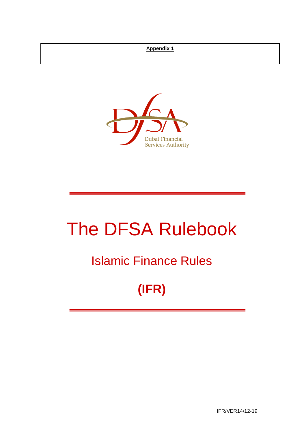## **Appendix 1**



# The DFSA Rulebook

## Islamic Finance Rules

## **(IFR)**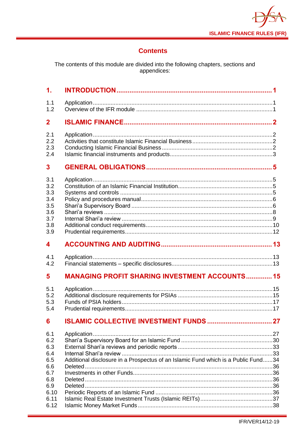

## **Contents**

The contents of this module are divided into the following chapters, sections and<br>appendices:

| $\mathbf{1}$ .                                              |                                                       |  |
|-------------------------------------------------------------|-------------------------------------------------------|--|
| 1.1<br>1.2                                                  |                                                       |  |
| $\mathbf{2}$                                                |                                                       |  |
| 2.1<br>2.2<br>2.3<br>2.4                                    |                                                       |  |
| 3                                                           |                                                       |  |
| 3.1<br>3.2<br>3.3<br>3.4<br>3.5<br>3.6<br>3.7<br>3.8<br>3.9 |                                                       |  |
| 4                                                           |                                                       |  |
| 4.1<br>4.2                                                  |                                                       |  |
| 5                                                           | <b>MANAGING PROFIT SHARING INVESTMENT ACCOUNTS 15</b> |  |
| 5.1<br>5.2<br>5.3<br>5.4                                    |                                                       |  |
|                                                             |                                                       |  |
| 6                                                           |                                                       |  |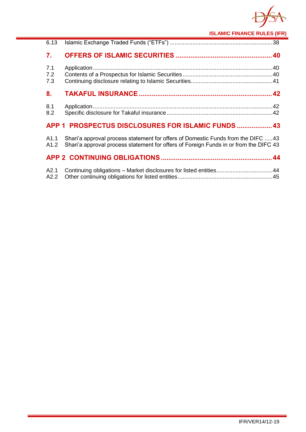

**ISLAMIC FINANCE RULES (IFR)**

| 6.13              |                                                                                                                                                                           |
|-------------------|---------------------------------------------------------------------------------------------------------------------------------------------------------------------------|
| 7.                |                                                                                                                                                                           |
| 7.1<br>7.2<br>7.3 |                                                                                                                                                                           |
| 8.                |                                                                                                                                                                           |
| 8.1<br>8.2        |                                                                                                                                                                           |
|                   | APP 1 PROSPECTUS DISCLOSURES FOR ISLAMIC FUNDS  43                                                                                                                        |
| A1.1<br>A1.2      | Shari'a approval process statement for offers of Domestic Funds from the DIFC 43<br>Shari'a approval process statement for offers of Foreign Funds in or from the DIFC 43 |
|                   |                                                                                                                                                                           |
| A2.1<br>A2.2      | Continuing obligations - Market disclosures for listed entities44                                                                                                         |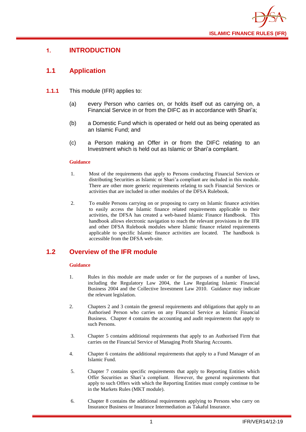

## <span id="page-3-0"></span>**1. INTRODUCTION**

## <span id="page-3-1"></span>**1.1 Application**

- **1.1.1** This module (IFR) applies to:
	- (a) every Person who carries on, or holds itself out as carrying on, a Financial Service in or from the DIFC as in accordance with Shari'a;
	- (b) a Domestic Fund which is operated or held out as being operated as an Islamic Fund; and
	- (c) a Person making an Offer in or from the DIFC relating to an Investment which is held out as Islamic or Shari'a compliant.

#### **Guidance**

- 1. Most of the requirements that apply to Persons conducting Financial Services or distributing Securities as Islamic or Shari'a compliant are included in this module. There are other more generic requirements relating to such Financial Services or activities that are included in other modules of the DFSA Rulebook.
- 2. To enable Persons carrying on or proposing to carry on Islamic finance activities to easily access the Islamic finance related requirements applicable to their activities, the DFSA has created a web-based Islamic Finance Handbook. This handbook allows electronic navigation to reach the relevant provisions in the IFR and other DFSA Rulebook modules where Islamic finance related requirements applicable to specific Islamic finance activities are located. The handbook is accessible from the DFSA web-site.

## <span id="page-3-2"></span>**1.2 Overview of the IFR module**

- 1. Rules in this module are made under or for the purposes of a number of laws, including the Regulatory Law 2004, the Law Regulating Islamic Financial Business 2004 and the Collective Investment Law 2010. Guidance may indicate the relevant legislation.
- 2. Chapters 2 and 3 contain the general requirements and obligations that apply to an Authorised Person who carries on any Financial Service as Islamic Financial Business. Chapter 4 contains the accounting and audit requirements that apply to such Persons.
- 3. Chapter 5 contains additional requirements that apply to an Authorised Firm that carries on the Financial Service of Managing Profit Sharing Accounts.
- 4. Chapter 6 contains the additional requirements that apply to a Fund Manager of an Islamic Fund.
- 5. Chapter 7 contains specific requirements that apply to Reporting Entities which Offer Securities as Shari'a compliant. However, the general requirements that apply to such Offers with which the Reporting Entities must comply continue to be in the Markets Rules (MKT module).
- 6. Chapter 8 contains the additional requirements applying to Persons who carry on Insurance Business or Insurance Intermediation as Takaful Insurance.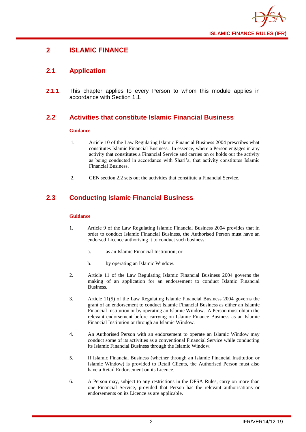

## <span id="page-4-0"></span>**2 ISLAMIC FINANCE**

## <span id="page-4-1"></span>**2.1 Application**

**2.1.1** This chapter applies to every Person to whom this module applies in accordance with Section 1.1.

## <span id="page-4-2"></span>**2.2 Activities that constitute Islamic Financial Business**

#### **Guidance**

- 1. Article 10 of the Law Regulating Islamic Financial Business 2004 prescribes what constitutes Islamic Financial Business. In essence, where a Person engages in any activity that constitutes a Financial Service and carries on or holds out the activity as being conducted in accordance with Shari'a, that activity constitutes Islamic Financial Business.
- 2. GEN section 2.2 sets out the activities that constitute a Financial Service.

## <span id="page-4-3"></span>**2.3 Conducting Islamic Financial Business**

- 1. Article 9 of the Law Regulating Islamic Financial Business 2004 provides that in order to conduct Islamic Financial Business, the Authorised Person must have an endorsed Licence authorising it to conduct such business:
	- a. as an Islamic Financial Institution; or
	- b. by operating an Islamic Window.
- 2. Article 11 of the Law Regulating Islamic Financial Business 2004 governs the making of an application for an endorsement to conduct Islamic Financial Business.
- 3. Article 11(5) of the Law Regulating Islamic Financial Business 2004 governs the grant of an endorsement to conduct Islamic Financial Business as either an Islamic Financial Institution or by operating an Islamic Window. A Person must obtain the relevant endorsement before carrying on Islamic Finance Business as an Islamic Financial Institution or through an Islamic Window.
- 4. An Authorised Person with an endorsement to operate an Islamic Window may conduct some of its activities as a conventional Financial Service while conducting its Islamic Financial Business through the Islamic Window.
- 5. If Islamic Financial Business (whether through an Islamic Financial Institution or Islamic Window) is provided to Retail Clients, the Authorised Person must also have a Retail Endorsement on its Licence.
- 6. A Person may, subject to any restrictions in the DFSA Rules, carry on more than one Financial Service, provided that Person has the relevant authorisations or endorsements on its Licence as are applicable.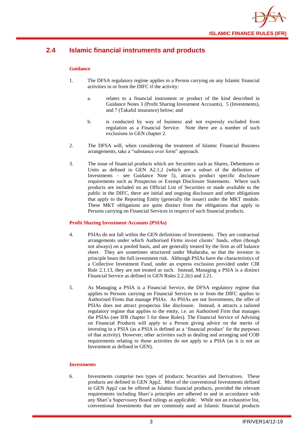

## <span id="page-5-0"></span>**2.4 Islamic financial instruments and products**

#### **Guidance**

- 1. The DFSA regulatory regime applies to a Person carrying on any Islamic financial activities in or from the DIFC if the activity:
	- a. relates to a financial instrument or product of the kind described in Guidance Notes 3 (Profit Sharing Investment Accounts), 5 (Investments), and 7 (Takaful insurance) below; and
	- b. is conducted by way of business and not expressly excluded from regulation as a Financial Service. Note there are a number of such exclusions in GEN chapter 2.
- 2. The DFSA will, when considering the treatment of Islamic Financial Business arrangements, take a "substance over form" approach.
- 3. The issue of financial products which are Securities such as Shares, Debentures or Units as defined in GEN A2.1.2 (which are a subset of the definition of Investments – see Guidance Note 5), attracts product specific disclosure requirements such as Prospectus or Exempt Disclosure Statements. Where such products are included on an Official List of Securities or made available to the public in the DIFC, there are initial and ongoing disclosure and other obligations that apply to the Reporting Entity (generally the issuer) under the MKT module. These MKT obligations are quite distinct from the obligations that apply to Persons carrying on Financial Services in respect of such financial products.

#### **Profit Sharing Investment Accounts (PSIAs)**

- 4. PSIAs do not fall within the GEN definitions of Investments. They are contractual arrangements under which Authorised Firms invest clients' funds, often (though not always) on a pooled basis, and are generally treated by the firm as off balance sheet. They are sometimes structured under Mudaraba, so that the investor in principle bears the full investment risk. Although PSIAs have the characteristics of a Collective Investment Fund, under an express exclusion provided under CIR Rule 2.1.13, they are not treated as such. Instead, Managing a PSIA is a distinct Financial Service as defined in GEN Rules 2.2.2(r) and 2.21.
- 5. As Managing a PSIA is a Financial Service, the DFSA regulatory regime that applies to Persons carrying on Financial Services in or from the DIFC applies to Authorised Firms that manage PSIAs. As PSIAs are not Investments, the offer of PSIAs does not attract prospectus like disclosure. Instead, it attracts a tailored regulatory regime that applies to the entity, i.e. an Authorised Firm that manages the PSIAs (see IFR chapter 5 for these Rules). The Financial Service of Advising on Financial Products will apply to a Person giving advice on the merits of investing in a PSIA (as a PSIA is defined as a 'financial product' for the purposes of that activity). However, other activities such as dealing and arranging and COB requirements relating to those activities do not apply to a PSIA (as it is not an Investment as defined in GEN).

#### **Investments**

6. Investments comprise two types of products: Securities and Derivatives. These products are defined in GEN App2. Most of the conventional Investments defined in GEN App2 can be offered as Islamic financial products, provided the relevant requirements including Shari'a principles are adhered to and in accordance with any Shari'a Supervisory Board rulings as applicable. While not an exhaustive list, conventional Investments that are commonly used as Islamic financial products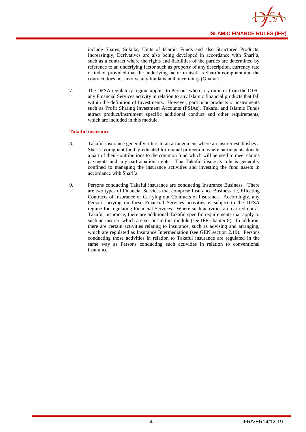include Shares, Sukuks, Units of Islamic Funds and also Structured Products. Increasingly, Derivatives are also being developed in accordance with Shari'a, such as a contract where the rights and liabilities of the parties are determined by reference to an underlying factor such as property of any description, currency rate or index, provided that the underlying factor in itself is Shari'a compliant and the contract does not involve any fundamental uncertainty (Gharar).

7. The DFSA regulatory regime applies to Persons who carry on in or from the DIFC any Financial Services activity in relation to any Islamic financial products that fall within the definition of Investments. However, particular products or instruments such as Profit Sharing Investment Accounts (PSIAs), Takaful and Islamic Funds attract product/instrument specific additional conduct and other requirements, which are included in this module.

#### **Takaful insurance**

- 8. Takaful insurance generally refers to an arrangement where an insurer establishes a Shari'a compliant fund, predicated for mutual protection, where participants donate a part of their contributions to the common fund which will be used to meet claims payments and any participation rights. The Takaful insurer's role is generally confined to managing the insurance activities and investing the fund assets in accordance with Shari'a.
- 9. Persons conducting Takaful insurance are conducting Insurance Business. There are two types of Financial Services that comprise Insurance Business, ie, Effecting Contracts of Insurance or Carrying out Contracts of Insurance. Accordingly, any Person carrying on these Financial Services activities is subject to the DFSA regime for regulating Financial Services. Where such activities are carried out as Takaful insurance, there are additional Takaful specific requirements that apply to such an insurer, which are set out in this module (see IFR chapter 8). In addition, there are certain activities relating to insurance, such as advising and arranging, which are regulated as Insurance Intermediation (see GEN section 2.19). Persons conducting those activities in relation to Takaful insurance are regulated in the same way as Persons conducting such activities in relation to conventional insurance.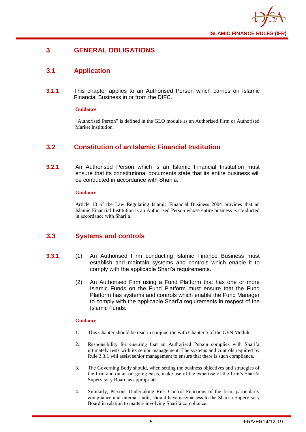

## <span id="page-7-0"></span>**3 GENERAL OBLIGATIONS**

## <span id="page-7-1"></span>**3.1 Application**

**3.1.1** This chapter applies to an Authorised Person which carries on Islamic Financial Business in or from the DIFC.

#### **Guidance**

"Authorised Person" is defined in the GLO module as an Authorised Firm or Authorised Market Institution.

## <span id="page-7-2"></span>**3.2 Constitution of an Islamic Financial Institution**

**3.2.1** An Authorised Person which is an Islamic Financial Institution must ensure that its constitutional documents state that its entire business will be conducted in accordance with Shari'a.

#### **Guidance**

Article 10 of the Law Regulating Islamic Financial Business 2004 provides that an Islamic Financial Institution is an Authorised Person whose entire business is conducted in accordance with Shari'a.

## <span id="page-7-3"></span>**3.3 Systems and controls**

- **3.3.1** (1) An Authorised Firm conducting Islamic Finance Business must establish and maintain systems and controls which enable it to comply with the applicable Shari'a requirements.
	- (2) An Authorised Firm using a Fund Platform that has one or more Islamic Funds on the Fund Platform must ensure that the Fund Platform has systems and controls which enable the Fund Manager to comply with the applicable Shari'a requirements in respect of the Islamic Funds.

- 1. This Chapter should be read in conjunction with Chapter 5 of the GEN Module.
- 2. Responsibility for ensuring that an Authorised Person complies with Shari'a ultimately rests with its senior management. The systems and controls required by Rule 3.3.1 will assist senior management to ensure that there is such compliance.
- 3. The Governing Body should, when setting the business objectives and strategies of the firm and on an on-going basis, make use of the expertise of the firm's Shari'a Supervisory Board as appropriate.
- 4. Similarly, Persons Undertaking Risk Control Functions of the firm, particularly compliance and internal audit, should have easy access to the Shari'a Supervisory Board in relation to matters involving Shari'a compliance.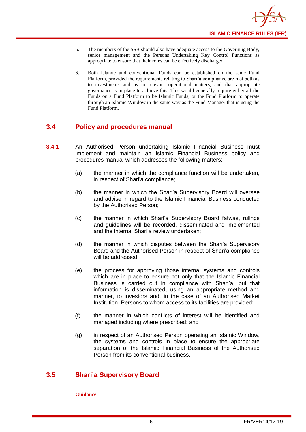- 5. The members of the SSB should also have adequate access to the Governing Body, senior management and the Persons Undertaking Key Control Functions as appropriate to ensure that their roles can be effectively discharged.
- 6. Both Islamic and conventional Funds can be established on the same Fund Platform, provided the requirements relating to Shari'a compliance are met both as to investments and as to relevant operational matters, and that appropriate governance is in place to achieve this. This would generally require either all the Funds on a Fund Platform to be Islamic Funds, or the Fund Platform to operate through an Islamic Window in the same way as the Fund Manager that is using the Fund Platform.

## <span id="page-8-0"></span>**3.4 Policy and procedures manual**

- **3.4.1** An Authorised Person undertaking Islamic Financial Business must implement and maintain an Islamic Financial Business policy and procedures manual which addresses the following matters:
	- (a) the manner in which the compliance function will be undertaken, in respect of Shari'a compliance;
	- (b) the manner in which the Shari'a Supervisory Board will oversee and advise in regard to the Islamic Financial Business conducted by the Authorised Person;
	- (c) the manner in which Shari'a Supervisory Board fatwas, rulings and guidelines will be recorded, disseminated and implemented and the internal Shari'a review undertaken;
	- (d) the manner in which disputes between the Shari'a Supervisory Board and the Authorised Person in respect of Shari'a compliance will be addressed;
	- (e) the process for approving those internal systems and controls which are in place to ensure not only that the Islamic Financial Business is carried out in compliance with Shari'a, but that information is disseminated, using an appropriate method and manner, to investors and, in the case of an Authorised Market Institution, Persons to whom access to its facilities are provided;
	- (f) the manner in which conflicts of interest will be identified and managed including where prescribed; and
	- (g) in respect of an Authorised Person operating an Islamic Window, the systems and controls in place to ensure the appropriate separation of the Islamic Financial Business of the Authorised Person from its conventional business.

## <span id="page-8-1"></span>**3.5 Shari'a Supervisory Board**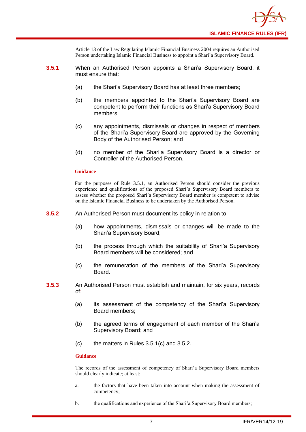

Article 13 of the Law Regulating Islamic Financial Business 2004 requires an Authorised Person undertaking Islamic Financial Business to appoint a Shari'a Supervisory Board.

- **3.5.1** When an Authorised Person appoints a Shari'a Supervisory Board, it must ensure that:
	- (a) the Shari'a Supervisory Board has at least three members;
	- (b) the members appointed to the Shari'a Supervisory Board are competent to perform their functions as Shari'a Supervisory Board members;
	- (c) any appointments, dismissals or changes in respect of members of the Shari'a Supervisory Board are approved by the Governing Body of the Authorised Person; and
	- (d) no member of the Shari'a Supervisory Board is a director or Controller of the Authorised Person.

#### **Guidance**

For the purposes of Rule 3.5.1, an Authorised Person should consider the previous experience and qualifications of the proposed Shari'a Supervisory Board members to assess whether the proposed Shari'a Supervisory Board member is competent to advise on the Islamic Financial Business to be undertaken by the Authorised Person.

- **3.5.2** An Authorised Person must document its policy in relation to:
	- (a) how appointments, dismissals or changes will be made to the Shari'a Supervisory Board;
	- (b) the process through which the suitability of Shari'a Supervisory Board members will be considered; and
	- (c) the remuneration of the members of the Shari'a Supervisory Board.
- **3.5.3** An Authorised Person must establish and maintain, for six years, records of:
	- (a) its assessment of the competency of the Shari'a Supervisory Board members;
	- (b) the agreed terms of engagement of each member of the Shari'a Supervisory Board; and
	- (c) the matters in Rules 3.5.1(c) and 3.5.2.

#### **Guidance**

The records of the assessment of competency of Shari'a Supervisory Board members should clearly indicate; at least:

- a. the factors that have been taken into account when making the assessment of competency;
- b. the qualifications and experience of the Shari'a Supervisory Board members;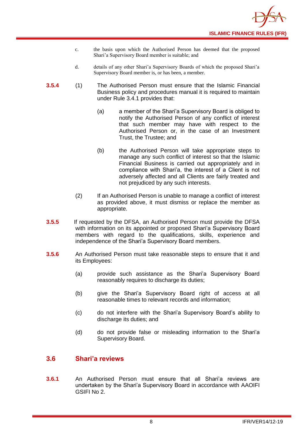- c. the basis upon which the Authorised Person has deemed that the proposed Shari'a Supervisory Board member is suitable; and
- d. details of any other Shari'a Supervisory Boards of which the proposed Shari'a Supervisory Board member is, or has been, a member.
- **3.5.4** (1) The Authorised Person must ensure that the Islamic Financial Business policy and procedures manual it is required to maintain under Rule 3.4.1 provides that:
	- (a) a member of the Shari'a Supervisory Board is obliged to notify the Authorised Person of any conflict of interest that such member may have with respect to the Authorised Person or, in the case of an Investment Trust, the Trustee; and
	- (b) the Authorised Person will take appropriate steps to manage any such conflict of interest so that the Islamic Financial Business is carried out appropriately and in compliance with Shari'a, the interest of a Client is not adversely affected and all Clients are fairly treated and not prejudiced by any such interests.
	- (2) If an Authorised Person is unable to manage a conflict of interest as provided above, it must dismiss or replace the member as appropriate.
- **3.5.5** If requested by the DFSA, an Authorised Person must provide the DFSA with information on its appointed or proposed Shari'a Supervisory Board members with regard to the qualifications, skills, experience and independence of the Shari'a Supervisory Board members.
- **3.5.6** An Authorised Person must take reasonable steps to ensure that it and its Employees:
	- (a) provide such assistance as the Shari'a Supervisory Board reasonably requires to discharge its duties;
	- (b) give the Shari'a Supervisory Board right of access at all reasonable times to relevant records and information;
	- (c) do not interfere with the Shari'a Supervisory Board's ability to discharge its duties; and
	- (d) do not provide false or misleading information to the Shari'a Supervisory Board.

## <span id="page-10-0"></span>**3.6 Shari'a reviews**

**3.6.1** An Authorised Person must ensure that all Shari'a reviews are undertaken by the Shari'a Supervisory Board in accordance with AAOIFI GSIFI No 2.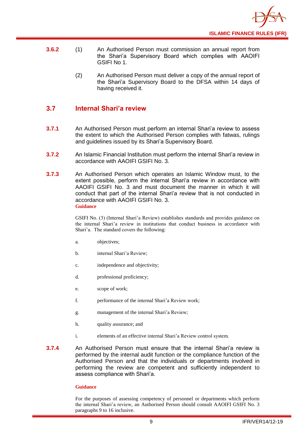

- **3.6.2** (1) An Authorised Person must commission an annual report from the Shari'a Supervisory Board which complies with AAOIFI GSIFI No 1.
	- (2) An Authorised Person must deliver a copy of the annual report of the Shari'a Supervisory Board to the DFSA within 14 days of having received it.

## <span id="page-11-0"></span>**3.7 Internal Shari'a review**

- **3.7.1** An Authorised Person must perform an internal Shari'a review to assess the extent to which the Authorised Person complies with fatwas, rulings and guidelines issued by its Shari'a Supervisory Board.
- **3.7.2** An Islamic Financial Institution must perform the internal Shari'a review in accordance with AAOIFI GSIFI No. 3.
- **3.7.3** An Authorised Person which operates an Islamic Window must, to the extent possible, perform the internal Shari'a review in accordance with AAOIFI GSIFI No. 3 and must document the manner in which it will conduct that part of the internal Shari'a review that is not conducted in accordance with AAOIFI GSIFI No. 3. **Guidance**

GSIFI No. (3) (Internal Shari'a Review) establishes standards and provides guidance on the internal Shari'a review in institutions that conduct business in accordance with Shari'a. The standard covers the following:

- a. objectives;
- b. internal Shari'a Review;
- c. independence and objectivity;
- d. professional proficiency;
- e. scope of work;
- f. performance of the internal Shari'a Review work;
- g. management of the internal Shari'a Review;
- h. quality assurance; and
- i. elements of an effective internal Shari'a Review control system.
- **3.7.4** An Authorised Person must ensure that the internal Shari'a review is performed by the internal audit function or the compliance function of the Authorised Person and that the individuals or departments involved in performing the review are competent and sufficiently independent to assess compliance with Shari'a.

#### **Guidance**

For the purposes of assessing competency of personnel or departments which perform the internal Shari'a review, an Authorised Person should consult AAOIFI GSIFI No. 3 paragraphs 9 to 16 inclusive.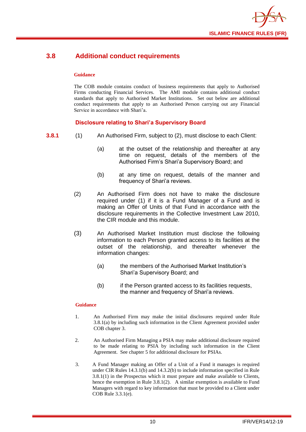

## <span id="page-12-0"></span>**3.8 Additional conduct requirements**

#### **Guidance**

The COB module contains conduct of business requirements that apply to Authorised Firms conducting Financial Services. The AMI module contains additional conduct standards that apply to Authorised Market Institutions. Set out below are additional conduct requirements that apply to an Authorised Person carrying out any Financial Service in accordance with Shari'a.

#### **Disclosure relating to Shari'a Supervisory Board**

- **3.8.1** (1) An Authorised Firm, subject to (2), must disclose to each Client:
	- (a) at the outset of the relationship and thereafter at any time on request, details of the members of the Authorised Firm's Shari'a Supervisory Board; and
	- (b) at any time on request, details of the manner and frequency of Shari'a reviews.
	- (2) An Authorised Firm does not have to make the disclosure required under (1) if it is a Fund Manager of a Fund and is making an Offer of Units of that Fund in accordance with the disclosure requirements in the Collective Investment Law 2010, the CIR module and this module.
	- (3) An Authorised Market Institution must disclose the following information to each Person granted access to its facilities at the outset of the relationship, and thereafter whenever the information changes:
		- (a) the members of the Authorised Market Institution's Shari'a Supervisory Board; and
		- (b) if the Person granted access to its facilities requests, the manner and frequency of Shari'a reviews.

- 1. An Authorised Firm may make the initial disclosures required under Rule 3.8.1(a) by including such information in the Client Agreement provided under COB chapter 3.
- 2. An Authorised Firm Managing a PSIA may make additional disclosure required to be made relating to PSIA by including such information in the Client Agreement. See chapter 5 for additional disclosure for PSIAs.
- 3. A Fund Manager making an Offer of a Unit of a Fund it manages is required under CIR Rules 14.3.1(b) and 14.3.2(b) to include information specified in Rule 3.8.1(1) in the Prospectus which it must prepare and make available to Clients, hence the exemption in Rule 3.8.1(2). A similar exemption is available to Fund Managers with regard to key information that must be provided to a Client under COB Rule 3.3.1(e).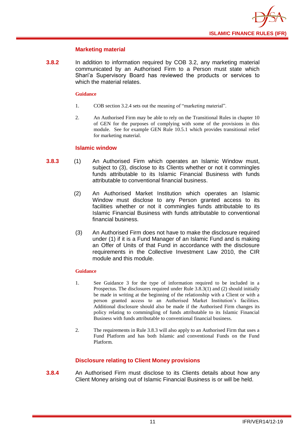

#### **Marketing material**

**3.8.2** In addition to information required by COB 3.2, any marketing material communicated by an Authorised Firm to a Person must state which Shari'a Supervisory Board has reviewed the products or services to which the material relates.

#### **Guidance**

- 1. COB section 3.2.4 sets out the meaning of "marketing material".
- 2. An Authorised Firm may be able to rely on the Transitional Rules in chapter 10 of GEN for the purposes of complying with some of the provisions in this module. See for example GEN Rule 10.5.1 which provides transitional relief for marketing material.

#### **Islamic window**

- **3.8.3** (1) An Authorised Firm which operates an Islamic Window must, subject to (3), disclose to its Clients whether or not it commingles funds attributable to its Islamic Financial Business with funds attributable to conventional financial business.
	- (2) An Authorised Market Institution which operates an Islamic Window must disclose to any Person granted access to its facilities whether or not it commingles funds attributable to its Islamic Financial Business with funds attributable to conventional financial business.
	- (3) An Authorised Firm does not have to make the disclosure required under (1) if it is a Fund Manager of an Islamic Fund and is making an Offer of Units of that Fund in accordance with the disclosure requirements in the Collective Investment Law 2010, the CIR module and this module.

#### **Guidance**

- 1. See Guidance 3 for the type of information required to be included in a Prospectus. The disclosures required under Rule 3.8.3(1) and (2) should initially be made in writing at the beginning of the relationship with a Client or with a person granted access to an Authorised Market Institution's facilities. Additional disclosure should also be made if the Authorised Firm changes its policy relating to commingling of funds attributable to its Islamic Financial Business with funds attributable to conventional financial business.
- 2. The requirements in Rule 3.8.3 will also apply to an Authorised Firm that uses a Fund Platform and has both Islamic and conventional Funds on the Fund Platform.

#### **Disclosure relating to Client Money provisions**

**3.8.4** An Authorised Firm must disclose to its Clients details about how any Client Money arising out of Islamic Financial Business is or will be held.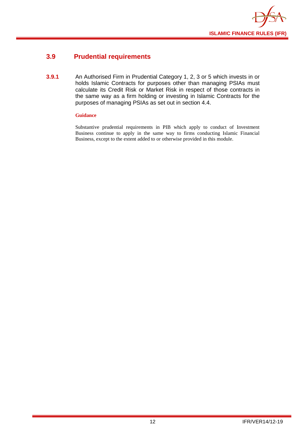

## <span id="page-14-0"></span>**3.9 Prudential requirements**

**3.9.1** An Authorised Firm in Prudential Category 1, 2, 3 or 5 which invests in or holds Islamic Contracts for purposes other than managing PSIAs must calculate its Credit Risk or Market Risk in respect of those contracts in the same way as a firm holding or investing in Islamic Contracts for the purposes of managing PSIAs as set out in section 4.4.

#### **Guidance**

Substantive prudential requirements in PIB which apply to conduct of Investment Business continue to apply in the same way to firms conducting Islamic Financial Business, except to the extent added to or otherwise provided in this module.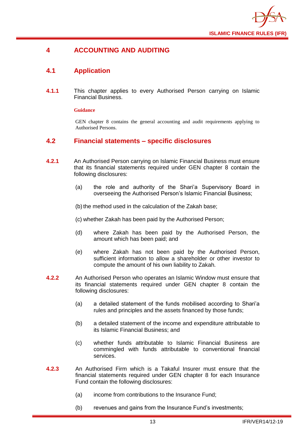

## <span id="page-15-0"></span>**4 ACCOUNTING AND AUDITING**

## <span id="page-15-1"></span>**4.1 Application**

**4.1.1** This chapter applies to every Authorised Person carrying on Islamic Financial Business.

#### **Guidance**

GEN chapter 8 contains the general accounting and audit requirements applying to Authorised Persons.

## <span id="page-15-2"></span>**4.2 Financial statements – specific disclosures**

- **4.2.1** An Authorised Person carrying on Islamic Financial Business must ensure that its financial statements required under GEN chapter 8 contain the following disclosures:
	- (a) the role and authority of the Shari'a Supervisory Board in overseeing the Authorised Person's Islamic Financial Business;

(b) the method used in the calculation of the Zakah base;

(c) whether Zakah has been paid by the Authorised Person;

- (d) where Zakah has been paid by the Authorised Person, the amount which has been paid; and
- (e) where Zakah has not been paid by the Authorised Person, sufficient information to allow a shareholder or other investor to compute the amount of his own liability to Zakah.
- **4.2.2** An Authorised Person who operates an Islamic Window must ensure that its financial statements required under GEN chapter 8 contain the following disclosures:
	- (a) a detailed statement of the funds mobilised according to Shari'a rules and principles and the assets financed by those funds;
	- (b) a detailed statement of the income and expenditure attributable to its Islamic Financial Business; and
	- (c) whether funds attributable to Islamic Financial Business are commingled with funds attributable to conventional financial services.
- **4.2.3** An Authorised Firm which is a Takaful Insurer must ensure that the financial statements required under GEN chapter 8 for each Insurance Fund contain the following disclosures:
	- (a) income from contributions to the Insurance Fund;
	- (b) revenues and gains from the Insurance Fund's investments;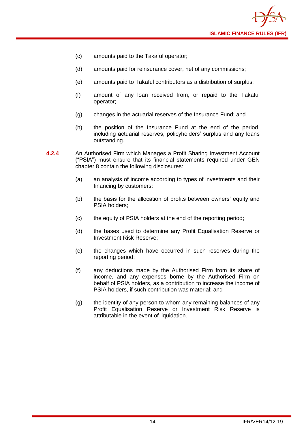

- (c) amounts paid to the Takaful operator;
- (d) amounts paid for reinsurance cover, net of any commissions;
- (e) amounts paid to Takaful contributors as a distribution of surplus;
- (f) amount of any loan received from, or repaid to the Takaful operator;
- (g) changes in the actuarial reserves of the Insurance Fund; and
- (h) the position of the Insurance Fund at the end of the period, including actuarial reserves, policyholders' surplus and any loans outstanding.
- **4.2.4** An Authorised Firm which Manages a Profit Sharing Investment Account ("PSIA") must ensure that its financial statements required under GEN chapter 8 contain the following disclosures:
	- (a) an analysis of income according to types of investments and their financing by customers;
	- (b) the basis for the allocation of profits between owners' equity and PSIA holders;
	- (c) the equity of PSIA holders at the end of the reporting period;
	- (d) the bases used to determine any Profit Equalisation Reserve or Investment Risk Reserve;
	- (e) the changes which have occurred in such reserves during the reporting period;
	- (f) any deductions made by the Authorised Firm from its share of income, and any expenses borne by the Authorised Firm on behalf of PSIA holders, as a contribution to increase the income of PSIA holders, if such contribution was material; and
	- (g) the identity of any person to whom any remaining balances of any Profit Equalisation Reserve or Investment Risk Reserve is attributable in the event of liquidation.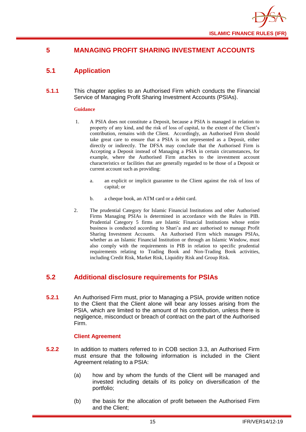

## <span id="page-17-0"></span>**5 MANAGING PROFIT SHARING INVESTMENT ACCOUNTS**

## <span id="page-17-1"></span>**5.1 Application**

**5.1.1** This chapter applies to an Authorised Firm which conducts the Financial Service of Managing Profit Sharing Investment Accounts (PSIAs).

#### **Guidance**

- 1. A PSIA does not constitute a Deposit, because a PSIA is managed in relation to property of any kind, and the risk of loss of capital, to the extent of the Client's contribution, remains with the Client. Accordingly, an Authorised Firm should take great care to ensure that a PSIA is not represented as a Deposit, either directly or indirectly. The DFSA may conclude that the Authorised Firm is Accepting a Deposit instead of Managing a PSIA in certain circumstances, for example, where the Authorised Firm attaches to the investment account characteristics or facilities that are generally regarded to be those of a Deposit or current account such as providing:
	- a. an explicit or implicit guarantee to the Client against the risk of loss of capital; or
	- b. a cheque book, an ATM card or a debit card.
- 2. The prudential Category for Islamic Financial Institutions and other Authorised Firms Managing PSIAs is determined in accordance with the Rules in PIB. Prudential Category 5 firms are Islamic Financial Institutions whose entire business is conducted according to Shari'a and are authorised to manage Profit Sharing Investment Accounts. An Authorised Firm which manages PSIAs, whether as an Islamic Financial Institution or through an Islamic Window, must also comply with the requirements in PIB in relation to specific prudential requirements relating to Trading Book and Non-Trading Book activities, including Credit Risk, Market Risk, Liquidity Risk and Group Risk.

## <span id="page-17-2"></span>**5.2 Additional disclosure requirements for PSIAs**

**5.2.1** An Authorised Firm must, prior to Managing a PSIA, provide written notice to the Client that the Client alone will bear any losses arising from the PSIA, which are limited to the amount of his contribution, unless there is negligence, misconduct or breach of contract on the part of the Authorised Firm.

#### **Client Agreement**

- **5.2.2** In addition to matters referred to in COB section 3.3, an Authorised Firm must ensure that the following information is included in the Client Agreement relating to a PSIA:
	- (a) how and by whom the funds of the Client will be managed and invested including details of its policy on diversification of the portfolio;
	- (b) the basis for the allocation of profit between the Authorised Firm and the Client;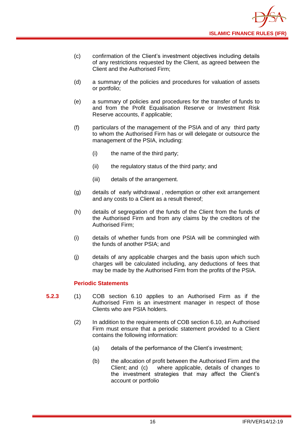

- (c) confirmation of the Client's investment objectives including details of any restrictions requested by the Client, as agreed between the Client and the Authorised Firm;
- (d) a summary of the policies and procedures for valuation of assets or portfolio;
- (e) a summary of policies and procedures for the transfer of funds to and from the Profit Equalisation Reserve or Investment Risk Reserve accounts, if applicable;
- (f) particulars of the management of the PSIA and of any third party to whom the Authorised Firm has or will delegate or outsource the management of the PSIA, including:
	- (i) the name of the third party;
	- (ii) the regulatory status of the third party; and
	- (iii) details of the arrangement.
- (g) details of early withdrawal , redemption or other exit arrangement and any costs to a Client as a result thereof;
- (h) details of segregation of the funds of the Client from the funds of the Authorised Firm and from any claims by the creditors of the Authorised Firm;
- (i) details of whether funds from one PSIA will be commingled with the funds of another PSIA; and
- (j) details of any applicable charges and the basis upon which such charges will be calculated including, any deductions of fees that may be made by the Authorised Firm from the profits of the PSIA.

#### **Periodic Statements**

- **5.2.3** (1) COB section 6.10 applies to an Authorised Firm as if the Authorised Firm is an investment manager in respect of those Clients who are PSIA holders.
	- (2) In addition to the requirements of COB section 6.10, an Authorised Firm must ensure that a periodic statement provided to a Client contains the following information:
		- (a) details of the performance of the Client's investment;
		- (b) the allocation of profit between the Authorised Firm and the Client; and (c) where applicable, details of changes to the investment strategies that may affect the Client's account or portfolio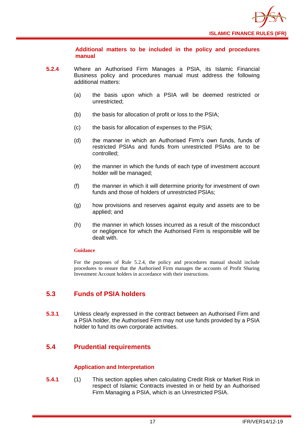

**Additional matters to be included in the policy and procedures manual** 

- **5.2.4** Where an Authorised Firm Manages a PSIA, its Islamic Financial Business policy and procedures manual must address the following additional matters:
	- (a) the basis upon which a PSIA will be deemed restricted or unrestricted;
	- (b) the basis for allocation of profit or loss to the PSIA;
	- (c) the basis for allocation of expenses to the PSIA;
	- (d) the manner in which an Authorised Firm's own funds, funds of restricted PSIAs and funds from unrestricted PSIAs are to be controlled;
	- (e) the manner in which the funds of each type of investment account holder will be managed;
	- (f) the manner in which it will determine priority for investment of own funds and those of holders of unrestricted PSIAs:
	- (g) how provisions and reserves against equity and assets are to be applied; and
	- (h) the manner in which losses incurred as a result of the misconduct or negligence for which the Authorised Firm is responsible will be dealt with.

#### **Guidance**

For the purposes of Rule 5.2.4, the policy and procedures manual should include procedures to ensure that the Authorised Firm manages the accounts of Profit Sharing Investment Account holders in accordance with their instructions.

## <span id="page-19-0"></span>**5.3 Funds of PSIA holders**

**5.3.1** Unless clearly expressed in the contract between an Authorised Firm and a PSIA holder, the Authorised Firm may not use funds provided by a PSIA holder to fund its own corporate activities.

## <span id="page-19-1"></span>**5.4 Prudential requirements**

#### **Application and Interpretation**

**5.4.1** (1) This section applies when calculating Credit Risk or Market Risk in respect of Islamic Contracts invested in or held by an Authorised Firm Managing a PSIA, which is an Unrestricted PSIA.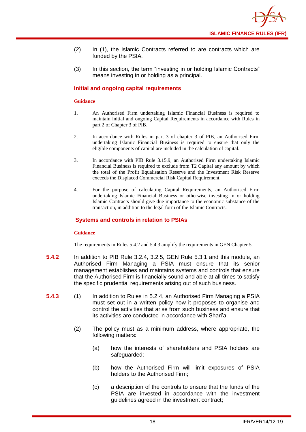- (2) In (1), the Islamic Contracts referred to are contracts which are funded by the PSIA.
- (3) In this section, the term "investing in or holding Islamic Contracts" means investing in or holding as a principal.

#### **Initial and ongoing capital requirements**

#### **Guidance**

- 1. An Authorised Firm undertaking Islamic Financial Business is required to maintain initial and ongoing Capital Requirements in accordance with Rules in part 2 of Chapter 3 of PIB.
- 2. In accordance with Rules in part 3 of chapter 3 of PIB, an Authorised Firm undertaking Islamic Financial Business is required to ensure that only the eligible components of capital are included in the calculation of capital.
- 3. In accordance with PIB Rule 3.15.9, an Authorised Firm undertaking Islamic Financial Business is required to exclude from T2 Capital any amount by which the total of the Profit Equalisation Reserve and the Investment Risk Reserve exceeds the Displaced Commercial Risk Capital Requirement.
- 4. For the purpose of calculating Capital Requirements, an Authorised Firm undertaking Islamic Financial Business or otherwise investing in or holding Islamic Contracts should give due importance to the economic substance of the transaction, in addition to the legal form of the Islamic Contracts.

#### **Systems and controls in relation to PSIAs**

#### **Guidance**

The requirements in Rules 5.4.2 and 5.4.3 amplify the requirements in GEN Chapter 5.

- **5.4.2** In addition to PIB Rule 3.2.4, 3.2.5, GEN Rule 5.3.1 and this module, an Authorised Firm Managing a PSIA must ensure that its senior management establishes and maintains systems and controls that ensure that the Authorised Firm is financially sound and able at all times to satisfy the specific prudential requirements arising out of such business.
- **5.4.3** (1) In addition to Rules in 5.2.4, an Authorised Firm Managing a PSIA must set out in a written policy how it proposes to organise and control the activities that arise from such business and ensure that its activities are conducted in accordance with Shari'a.
	- (2) The policy must as a minimum address, where appropriate, the following matters:
		- (a) how the interests of shareholders and PSIA holders are safeguarded;
		- (b) how the Authorised Firm will limit exposures of PSIA holders to the Authorised Firm;
		- (c) a description of the controls to ensure that the funds of the PSIA are invested in accordance with the investment guidelines agreed in the investment contract;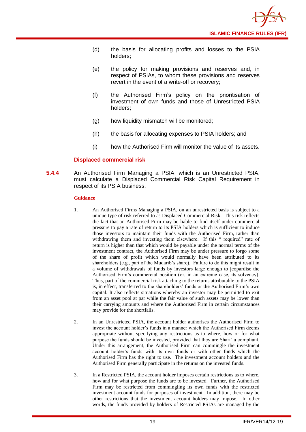

- (d) the basis for allocating profits and losses to the PSIA holders;
- (e) the policy for making provisions and reserves and, in respect of PSIAs, to whom these provisions and reserves revert in the event of a write-off or recovery;
- (f) the Authorised Firm's policy on the prioritisation of investment of own funds and those of Unrestricted PSIA holders;
- (g) how liquidity mismatch will be monitored;
- (h) the basis for allocating expenses to PSIA holders; and
- (i) how the Authorised Firm will monitor the value of its assets.

#### **Displaced commercial risk**

**5.4.4** An Authorised Firm Managing a PSIA, which is an Unrestricted PSIA, must calculate a Displaced Commercial Risk Capital Requirement in respect of its PSIA business.

- 1. An Authorised Firms Managing a PSIA, on an unrestricted basis is subject to a unique type of risk referred to as Displaced Commercial Risk. This risk reflects the fact that an Authorised Firm may be liable to find itself under commercial pressure to pay a rate of return to its PSIA holders which is sufficient to induce those investors to maintain their funds with the Authorised Firm, rather than withdrawing them and investing them elsewhere. If this " required" rate of return is higher than that which would be payable under the normal terms of the investment contract, the Authorised Firm may be under pressure to forgo some of the share of profit which would normally have been attributed to its shareholders (e.g., part of the Mudarib's share). Failure to do this might result in a volume of withdrawals of funds by investors large enough to jeopardise the Authorised Firm's commercial position (or, in an extreme case, its solvency). Thus, part of the commercial risk attaching to the returns attributable to the PSIA is, in effect, transferred to the shareholders' funds or the Authorised Firm's own capital. It also reflects situations whereby an investor may be permitted to exit from an asset pool at par while the fair value of such assets may be lower than their carrying amounts and where the Authorised Firm in certain circumstances may provide for the shortfalls.
- 2. In an Unrestricted PSIA, the account holder authorises the Authorised Firm to invest the account holder's funds in a manner which the Authorised Firm deems appropriate without specifying any restrictions as to where, how or for what purpose the funds should be invested, provided that they are Shari' a compliant. Under this arrangement, the Authorised Firm can commingle the investment account holder's funds with its own funds or with other funds which the Authorised Firm has the right to use. The investment account holders and the Authorised Firm generally participate in the returns on the invested funds.
- 3. In a Restricted PSIA, the account holder imposes certain restrictions as to where, how and for what purpose the funds are to be invested. Further, the Authorised Firm may be restricted from commingling its own funds with the restricted investment account funds for purposes of investment. In addition, there may be other restrictions that the investment account holders may impose. In other words, the funds provided by holders of Restricted PSIAs are managed by the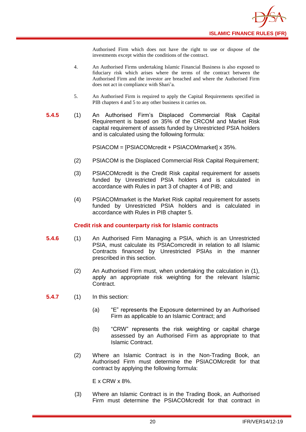Authorised Firm which does not have the right to use or dispose of the investments except within the conditions of the contract.

- 4. An Authorised Firms undertaking Islamic Financial Business is also exposed to fiduciary risk which arises where the terms of the contract between the Authorised Firm and the investor are breached and where the Authorised Firm does not act in compliance with Shari'a.
- 5. An Authorised Firm is required to apply the Capital Requirements specified in PIB chapters 4 and 5 to any other business it carries on.
- **5.4.5** (1) An Authorised Firm's Displaced Commercial Risk Capital Requirement is based on 35% of the CRCOM and Market Risk capital requirement of assets funded by Unrestricted PSIA holders and is calculated using the following formula:

PSIACOM = [PSIACOMcredit + PSIACOMmarket] x 35%.

- (2) PSIACOM is the Displaced Commercial Risk Capital Requirement;
- (3) PSIACOMcredit is the Credit Risk capital requirement for assets funded by Unrestricted PSIA holders and is calculated in accordance with Rules in part 3 of chapter 4 of PIB; and
- (4) PSIACOMmarket is the Market Risk capital requirement for assets funded by Unrestricted PSIA holders and is calculated in accordance with Rules in PIB chapter 5.

#### **Credit risk and counterparty risk for Islamic contracts**

- **5.4.6** (1) An Authorised Firm Managing a PSIA, which is an Unrestricted PSIA, must calculate its PSIAComcredit in relation to all Islamic Contracts financed by Unrestricted PSIAs in the manner prescribed in this section.
	- (2) An Authorised Firm must, when undertaking the calculation in (1), apply an appropriate risk weighting for the relevant Islamic Contract.

**5.4.7** (1) In this section:

- (a) "E" represents the Exposure determined by an Authorised Firm as applicable to an Islamic Contract; and
- (b) "CRW" represents the risk weighting or capital charge assessed by an Authorised Firm as appropriate to that Islamic Contract.
- (2) Where an Islamic Contract is in the Non-Trading Book, an Authorised Firm must determine the PSIACOMcredit for that contract by applying the following formula:

E x CRW x 8%.

(3) Where an Islamic Contract is in the Trading Book, an Authorised Firm must determine the PSIACOMcredit for that contract in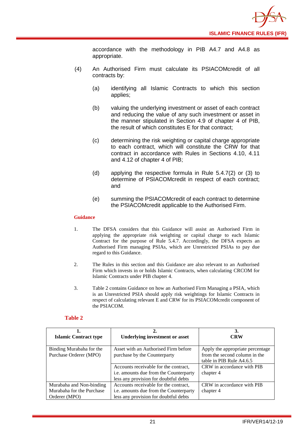

accordance with the methodology in PIB A4.7 and A4.8 as appropriate.

- (4) An Authorised Firm must calculate its PSIACOMcredit of all contracts by:
	- (a) identifying all Islamic Contracts to which this section applies;
	- (b) valuing the underlying investment or asset of each contract and reducing the value of any such investment or asset in the manner stipulated in Section 4.9 of chapter 4 of PIB, the result of which constitutes E for that contract;
	- (c) determining the risk weighting or capital charge appropriate to each contract, which will constitute the CRW for that contract in accordance with Rules in Sections 4.10, 4.11 and 4.12 of chapter 4 of PIB;
	- (d) applying the respective formula in Rule 5.4.7(2) or (3) to determine of PSIACOMcredit in respect of each contract; and
	- (e) summing the PSIACOMcredit of each contract to determine the PSIACOMcredit applicable to the Authorised Firm.

#### **Guidance**

- 1. The DFSA considers that this Guidance will assist an Authorised Firm in applying the appropriate risk weighting or capital charge to each Islamic Contract for the purpose of Rule 5.4.7. Accordingly, the DFSA expects an Authorised Firm managing PSIAs, which are Unrestricted PSIAs to pay due regard to this Guidance.
- 2. The Rules in this section and this Guidance are also relevant to an Authorised Firm which invests in or holds Islamic Contracts, when calculating CRCOM for Islamic Contracts under PIB chapter 4.
- 3. Table 2 contains Guidance on how an Authorised Firm Managing a PSIA, which is an Unrestricted PSIA should apply risk weightings for Islamic Contracts in respect of calculating relevant E and CRW for its PSIACOMcredit component of the PSIACOM.

#### **Table 2**

| <b>Islamic Contract type</b>                                           | <b>Underlying investment or asset</b>                                                                                    | 3.<br><b>CRW</b>                                                                              |
|------------------------------------------------------------------------|--------------------------------------------------------------------------------------------------------------------------|-----------------------------------------------------------------------------------------------|
| Binding Murabaha for the<br>Purchase Orderer (MPO)                     | Asset with an Authorised Firm before<br>purchase by the Counterparty                                                     | Apply the appropriate percentage<br>from the second column in the<br>table in PIB Rule A4.6.5 |
|                                                                        | Accounts receivable for the contract,<br>i.e. amounts due from the Counterparty<br>less any provision for doubtful debts | CRW in accordance with PIB<br>chapter 4                                                       |
| Murabaha and Non-binding<br>Murabaha for the Purchase<br>Orderer (MPO) | Accounts receivable for the contract,<br>i.e. amounts due from the Counterparty<br>less any provision for doubtful debts | CRW in accordance with PIB<br>chapter 4                                                       |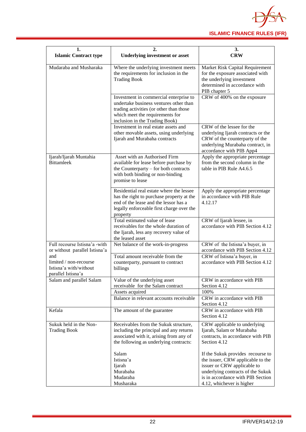

| 1.                                                                            | 2.                                                                                                                                                                                               | 3.                                                                                                                                                                                                           |  |  |  |  |  |
|-------------------------------------------------------------------------------|--------------------------------------------------------------------------------------------------------------------------------------------------------------------------------------------------|--------------------------------------------------------------------------------------------------------------------------------------------------------------------------------------------------------------|--|--|--|--|--|
| <b>Islamic Contract type</b>                                                  | <b>Underlying investment or asset</b>                                                                                                                                                            | <b>CRW</b>                                                                                                                                                                                                   |  |  |  |  |  |
| Mudaraba and Musharaka                                                        | Where the underlying investment meets<br>the requirements for inclusion in the<br><b>Trading Book</b>                                                                                            | Market Risk Capital Requirement<br>for the exposure associated with<br>the underlying investment<br>determined in accordance with<br>PIB chapter 5                                                           |  |  |  |  |  |
|                                                                               | Investment in commercial enterprise to<br>undertake business ventures other than<br>trading activities (or other than those<br>which meet the requirements for<br>inclusion in the Trading Book) | CRW of 400% on the exposure                                                                                                                                                                                  |  |  |  |  |  |
|                                                                               | Investment in real estate assets and                                                                                                                                                             | CRW of the lessee for the                                                                                                                                                                                    |  |  |  |  |  |
|                                                                               | other movable assets, using underlying<br>Ijarah and Murabaha contracts                                                                                                                          | underlying Ijarah contracts or the<br>CRW of the counterparty of the<br>underlying Murabaha contract, in<br>accordance with PIB App4                                                                         |  |  |  |  |  |
| Ijarah/Ijarah Muntahia<br><b>Bittamleek</b>                                   | Asset with an Authorised Firm<br>available for lease before purchase by<br>the Counterparty – for both contracts<br>with both binding or non-binding<br>promise to lease                         | Apply the appropriate percentage<br>from the second column in the<br>table in PIB Rule A4.6.5                                                                                                                |  |  |  |  |  |
|                                                                               | Residential real estate where the lessee<br>has the right to purchase property at the<br>end of the lease and the lessor has a<br>legally enforceable first charge over the<br>property          | Apply the appropriate percentage<br>in accordance with PIB Rule<br>4.12.17                                                                                                                                   |  |  |  |  |  |
|                                                                               | Total estimated value of lease<br>receivables for the whole duration of<br>the Ijarah, less any recovery value of<br>the leased asset                                                            | CRW of Ijarah lessee, in<br>accordance with PIB Section 4.12                                                                                                                                                 |  |  |  |  |  |
| Full recourse Istisna'a -with<br>or without parallel Istisna'a                | Net balance of the work-in-progress                                                                                                                                                              | CRW of the Istisna'a buyer, in<br>accordance with PIB Section 4.12                                                                                                                                           |  |  |  |  |  |
| and<br>limited / non-recourse<br>Istisna'a with/without<br>parallel Istisna'a | Total amount receivable from the<br>counterparty, pursuant to contract<br>billings                                                                                                               | CRW of Istisna'a buyer, in<br>accordance with PIB Section 4.12                                                                                                                                               |  |  |  |  |  |
| Salam and parallel Salam                                                      | Value of the underlying asset<br>receivable for the Salam contract                                                                                                                               | CRW in accordance with PIB<br>Section 4.12                                                                                                                                                                   |  |  |  |  |  |
|                                                                               | Assets acquired                                                                                                                                                                                  | 100%                                                                                                                                                                                                         |  |  |  |  |  |
|                                                                               | Balance in relevant accounts receivable                                                                                                                                                          | CRW in accordance with PIB<br>Section 4.12                                                                                                                                                                   |  |  |  |  |  |
| Kefala                                                                        | The amount of the guarantee                                                                                                                                                                      | CRW in accordance with PIB<br>Section 4.12                                                                                                                                                                   |  |  |  |  |  |
| Sukuk held in the Non-<br><b>Trading Book</b>                                 | Receivables from the Sukuk structure,<br>including the principal and any returns<br>associated with it, arising from any of<br>the following as underlying contracts:                            | CRW applicable to underlying<br>Ijarah, Salam or Murabaha<br>contracts, in accordance with PIB<br>Section 4.12                                                                                               |  |  |  |  |  |
|                                                                               | Salam<br>Istisna'a<br>Ijarah<br>Murabaha<br>Mudaraba<br>Musharaka                                                                                                                                | If the Sukuk provides recourse to<br>the issuer, CRW applicable to the<br>issuer or CRW applicable to<br>underlying contracts of the Sukuk<br>is in accordance with PIB Section<br>4.12, whichever is higher |  |  |  |  |  |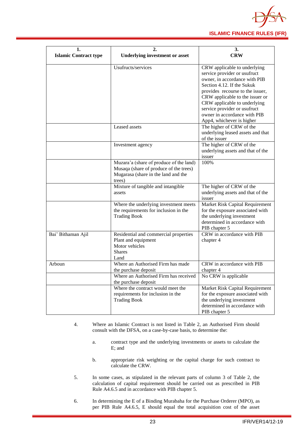

| ı.                           | 2.                                                            | 3.                                          |  |  |  |  |
|------------------------------|---------------------------------------------------------------|---------------------------------------------|--|--|--|--|
| <b>Islamic Contract type</b> | <b>Underlying investment or asset</b>                         | <b>CRW</b>                                  |  |  |  |  |
|                              |                                                               |                                             |  |  |  |  |
|                              | Usufructs/services                                            | CRW applicable to underlying                |  |  |  |  |
|                              |                                                               | service provider or usufruct                |  |  |  |  |
|                              |                                                               | owner, in accordance with PIB               |  |  |  |  |
|                              |                                                               | Section 4.12. If the Sukuk                  |  |  |  |  |
|                              |                                                               | provides recourse to the issuer,            |  |  |  |  |
|                              |                                                               | CRW applicable to the issuer or             |  |  |  |  |
|                              |                                                               | CRW applicable to underlying                |  |  |  |  |
|                              |                                                               | service provider or usufruct                |  |  |  |  |
|                              |                                                               | owner in accordance with PIB                |  |  |  |  |
|                              |                                                               | App4, whichever is higher                   |  |  |  |  |
|                              | Leased assets                                                 | The higher of CRW of the                    |  |  |  |  |
|                              |                                                               | underlying leased assets and that           |  |  |  |  |
|                              |                                                               | of the issuer                               |  |  |  |  |
|                              | Investment agency                                             | The higher of CRW of the                    |  |  |  |  |
|                              |                                                               | underlying assets and that of the<br>issuer |  |  |  |  |
|                              | Muzara'a (share of produce of the land)                       | 100%                                        |  |  |  |  |
|                              | Musaqa (share of produce of the trees)                        |                                             |  |  |  |  |
|                              | Mugarasa (share in the land and the                           |                                             |  |  |  |  |
|                              | trees)                                                        |                                             |  |  |  |  |
|                              | Mixture of tangible and intangible                            | The higher of CRW of the                    |  |  |  |  |
|                              | assets                                                        | underlying assets and that of the           |  |  |  |  |
|                              |                                                               | issuer                                      |  |  |  |  |
|                              | Where the underlying investment meets                         | Market Risk Capital Requirement             |  |  |  |  |
|                              | the requirements for inclusion in the                         | for the exposure associated with            |  |  |  |  |
|                              | <b>Trading Book</b>                                           | the underlying investment                   |  |  |  |  |
|                              |                                                               | determined in accordance with               |  |  |  |  |
|                              |                                                               | PIB chapter 5                               |  |  |  |  |
| Bai' Bithaman Ajil           | Residential and commercial properties                         | CRW in accordance with PIB                  |  |  |  |  |
|                              | Plant and equipment                                           | chapter 4                                   |  |  |  |  |
|                              | Motor vehicles                                                |                                             |  |  |  |  |
|                              | <b>Shares</b>                                                 |                                             |  |  |  |  |
|                              | Land<br>Where an Authorised Firm has made                     | CRW in accordance with PIB                  |  |  |  |  |
| Arboun                       |                                                               |                                             |  |  |  |  |
|                              | the purchase deposit<br>Where an Authorised Firm has received | chapter 4<br>No CRW is applicable           |  |  |  |  |
|                              | the purchase deposit                                          |                                             |  |  |  |  |
|                              | Where the contract would meet the                             | Market Risk Capital Requirement             |  |  |  |  |
|                              | requirements for inclusion in the                             | for the exposure associated with            |  |  |  |  |
|                              | <b>Trading Book</b>                                           | the underlying investment                   |  |  |  |  |
|                              |                                                               | determined in accordance with               |  |  |  |  |
|                              |                                                               | PIB chapter 5                               |  |  |  |  |

- 4. Where an Islamic Contract is not listed in Table 2, an Authorised Firm should consult with the DFSA, on a case-by-case basis, to determine the:
	- a. contract type and the underlying investments or assets to calculate the E; and
	- b. appropriate risk weighting or the capital charge for such contract to calculate the CRW.
- 5. In some cases, as stipulated in the relevant parts of column 3 of Table 2, the calculation of capital requirement should be carried out as prescribed in PIB Rule A4.6.5 and in accordance with PIB chapter 5.
- 6. In determining the E of a Binding Murabaha for the Purchase Orderer (MPO), as per PIB Rule A4.6.5, E should equal the total acquisition cost of the asset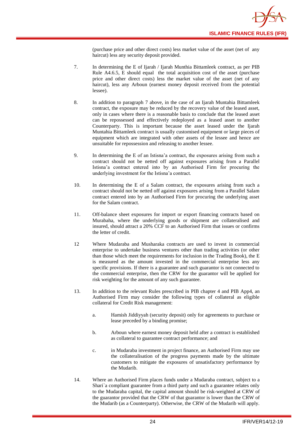

(purchase price and other direct costs) less market value of the asset (net of any haircut) less any security deposit provided.

- 7. In determining the E of Ijarah / Ijarah Munthia Bittamleek contract, as per PIB Rule A4.6.5, E should equal the total acquisition cost of the asset (purchase price and other direct costs) less the market value of the asset (net of any haircut), less any Arboun (earnest money deposit received from the potential lessee).
- 8. In addition to paragraph 7 above, in the case of an Ijarah Muntahia Bittamleek contract, the exposure may be reduced by the recovery value of the leased asset, only in cases where there is a reasonable basis to conclude that the leased asset can be repossessed and effectively redeployed as a leased asset to another Counterparty. This is important because the asset leased under the Ijarah Muntahia Bittamleek contract is usually customised equipment or large pieces of equipment which are integrated with other assets of the lessee and hence are unsuitable for repossession and releasing to another lessee.
- 9. In determining the E of an Istisna'a contract, the exposures arising from such a contract should not be netted off against exposures arising from a Parallel Istisna'a contract entered into by an Authorised Firm for procuring the underlying investment for the Istisna'a contract.
- 10. In determining the E of a Salam contract, the exposures arising from such a contract should not be netted off against exposures arising from a Parallel Salam contract entered into by an Authorised Firm for procuring the underlying asset for the Salam contract.
- 11. Off-balance sheet exposures for import or export financing contracts based on Murabaha, where the underlying goods or shipment are collateralised and insured, should attract a 20% CCF to an Authorised Firm that issues or confirms the letter of credit.
- 12 Where Mudaraba and Musharaka contracts are used to invest in commercial enterprise to undertake business ventures other than trading activities (or other than those which meet the requirements for inclusion in the Trading Book), the E is measured as the amount invested in the commercial enterprise less any specific provisions. If there is a guarantee and such guarantor is not connected to the commercial enterprise, then the CRW for the guarantor will be applied for risk weighting for the amount of any such guarantee.
- 13. In addition to the relevant Rules prescribed in PIB chapter 4 and PIB App4, an Authorised Firm may consider the following types of collateral as eligible collateral for Credit Risk management:
	- a. Hamish Jiddiyyah (security deposit) only for agreements to purchase or lease preceded by a binding promise;
	- b. Arboun where earnest money deposit held after a contract is established as collateral to guarantee contract performance; and
	- c. in Mudaraba investment in project finance, an Authorised Firm may use the collateralisation of the progress payments made by the ultimate customers to mitigate the exposures of unsatisfactory performance by the Mudarib.
- 14. Where an Authorised Firm places funds under a Mudaraba contract, subject to a Shari`a compliant guarantee from a third party and such a guarantee relates only to the Mudaraba capital, the capital amount should be risk-weighted at CRW of the guarantor provided that the CRW of that guarantor is lower than the CRW of the Mudarib (as a Counterparty). Otherwise, the CRW of the Mudarib will apply.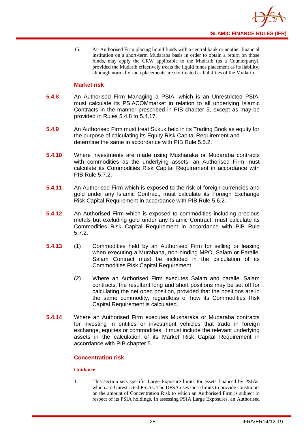

15. An Authorised Firm placing liquid funds with a central bank or another financial institution on a short-term Mudaraba basis in order to obtain a return on those funds, may apply the CRW applicable to the Mudarib (as a Counterparty), provided the Mudarib effectively treats the liquid funds placement as its liability, although normally such placements are not treated as liabilities of the Mudarib.

#### **Market risk**

- **5.4.8** An Authorised Firm Managing a PSIA, which is an Unrestricted PSIA, must calculate its PSIACOMmarket in relation to all underlying Islamic Contracts in the manner prescribed in PIB chapter 5, except as may be provided in Rules 5.4.8 to 5.4.17.
- **5.4.9** An Authorised Firm must treat Sukuk held in its Trading Book as equity for the purpose of calculating its Equity Risk Capital Requirement and determine the same in accordance with PIB Rule 5.5.2.
- **5.4.10** Where investments are made using Musharaka or Mudaraba contracts with commodities as the underlying assets, an Authorised Firm must calculate its Commodities Risk Capital Requirement in accordance with PIB Rule 5.7.2.
- **5.4.11** An Authorised Firm which is exposed to the risk of foreign currencies and gold under any Islamic Contract, must calculate its Foreign Exchange Risk Capital Requirement in accordance with PIB Rule 5.6.2.
- **5.4.12** An Authorised Firm which is exposed to commodities including precious metals but excluding gold under any Islamic Contract, must calculate its Commodities Risk Capital Requirement in accordance with PIB Rule 5.7.2.
- **5.4.13** (1) Commodities held by an Authorised Firm for selling or leasing when executing a Murabaha, non-binding MPO, Salam or Parallel Salam Contract must be included in the calculation of its Commodities Risk Capital Requirement.
	- (2) Where an Authorised Firm executes Salam and parallel Salam contracts, the resultant long and short positions may be set off for calculating the net open position, provided that the positions are in the same commodity, regardless of how its Commodities Risk Capital Requirement is calculated.
- **5.4.14** Where an Authorised Firm executes Musharaka or Mudaraba contracts for investing in entities or investment vehicles that trade in foreign exchange, equities or commodities, it must include the relevant underlying assets in the calculation of its Market Risk Capital Requirement in accordance with PIB chapter 5.

#### **Concentration risk**

#### **Guidance**

1. This section sets specific Large Exposure limits for assets financed by PSIAs, which are Unrestricted PSIAs. The DFSA uses these limits to provide constraints on the amount of Concentration Risk to which an Authorised Firm is subject in respect of its PSIA holdings. In assessing PSIA Large Exposures, an Authorised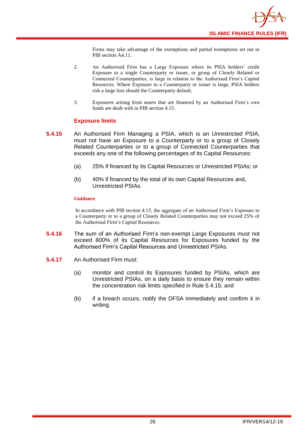

Firms may take advantage of the exemptions and partial exemptions set out in PIB section A4.11.

- 2. An Authorised Firm has a Large Exposure where its PSIA holders' credit Exposure to a single Counterparty or issuer, or group of Closely Related or Connected Counterparties, is large in relation to the Authorised Firm's Capital Resources. Where Exposure to a Counterparty or issuer is large, PSIA holders risk a large loss should the Counterparty default.
- 3. Exposures arising from assets that are financed by an Authorised Firm's own funds are dealt with in PIB section 4.15.

#### **Exposure limits**

- **5.4.15** An Authorised Firm Managing a PSIA, which is an Unrestricted PSIA, must not have an Exposure to a Counterparty or to a group of Closely Related Counterparties or to a group of Connected Counterparties that exceeds any one of the following percentages of its Capital Resources:
	- (a) 25% if financed by its Capital Resources or Unrestricted PSIAs; or
	- (b) 40% if financed by the total of its own Capital Resources and, Unrestricted PSIAs.

#### **Guidance**

In accordance with PIB section 4.15, the aggregate of an Authorised Firm's Exposure to a Counterparty or to a group of Closely Related Counterparties may not exceed 25% of the Authorised Firm's Capital Resources.

- **5.4.16** The sum of an Authorised Firm's non-exempt Large Exposures must not exceed 800% of its Capital Resources for Exposures funded by the Authorised Firm's Capital Resources and Unrestricted PSIAs.
- **5.4.17** An Authorised Firm must:
	- (a) monitor and control its Exposures funded by PSIAs, which are Unrestricted PSIAs, on a daily basis to ensure they remain within the concentration risk limits specified in Rule 5.4.15; and
	- (b) if a breach occurs, notify the DFSA immediately and confirm it in writing.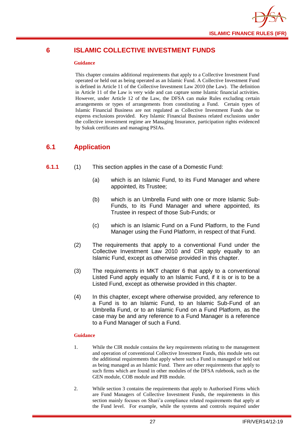

## <span id="page-29-0"></span>**6 ISLAMIC COLLECTIVE INVESTMENT FUNDS**

#### **Guidance**

This chapter contains additional requirements that apply to a Collective Investment Fund operated or held out as being operated as an Islamic Fund. A Collective Investment Fund is defined in Article 11 of the Collective Investment Law 2010 (the Law). The definition in Article 11 of the Law is very wide and can capture some Islamic financial activities. However, under Article 12 of the Law, the DFSA can make Rules excluding certain arrangements or types of arrangements from constituting a Fund. Certain types of Islamic Financial Business are not regulated as Collective Investment Funds due to express exclusions provided. Key Islamic Financial Business related exclusions under the collective investment regime are Managing Insurance, participation rights evidenced by Sukuk certificates and managing PSIAs.

## <span id="page-29-1"></span>**6.1 Application**

- **6.1.1** (1) This section applies in the case of a Domestic Fund:
	- (a) which is an Islamic Fund, to its Fund Manager and where appointed, its Trustee;
	- (b) which is an Umbrella Fund with one or more Islamic Sub-Funds, to its Fund Manager and where appointed, its Trustee in respect of those Sub-Funds; or
	- (c) which is an Islamic Fund on a Fund Platform, to the Fund Manager using the Fund Platform, in respect of that Fund.
	- (2) The requirements that apply to a conventional Fund under the Collective Investment Law 2010 and CIR apply equally to an Islamic Fund, except as otherwise provided in this chapter.
	- (3) The requirements in MKT chapter 6 that apply to a conventional Listed Fund apply equally to an Islamic Fund, if it is or is to be a Listed Fund, except as otherwise provided in this chapter.
	- (4) In this chapter, except where otherwise provided, any reference to a Fund is to an Islamic Fund, to an Islamic Sub-Fund of an Umbrella Fund, or to an Islamic Fund on a Fund Platform, as the case may be and any reference to a Fund Manager is a reference to a Fund Manager of such a Fund.

- 1. While the CIR module contains the key requirements relating to the management and operation of conventional Collective Investment Funds, this module sets out the additional requirements that apply where such a Fund is managed or held out as being managed as an Islamic Fund. There are other requirements that apply to such firms which are found in other modules of the DFSA rulebook, such as the GEN module, COB module and PIB module.
- 2. While section 3 contains the requirements that apply to Authorised Firms which are Fund Managers of Collective Investment Funds, the requirements in this section mainly focuses on Shari'a compliance related requirements that apply at the Fund level. For example, while the systems and controls required under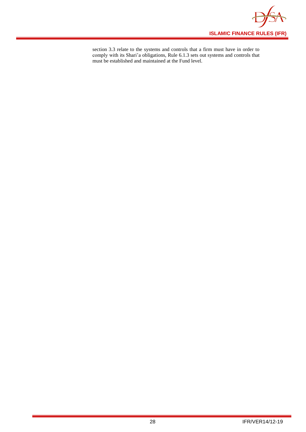

section 3.3 relate to the systems and controls that a firm must have in order to comply with its Shari'a obligations, Rule 6.1.3 sets out systems and controls that must be established and maintained at the Fund level.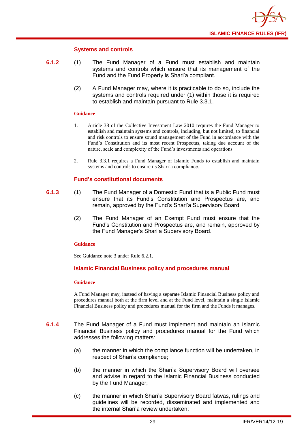

#### **Systems and controls**

- **6.1.2** (1) The Fund Manager of a Fund must establish and maintain systems and controls which ensure that its management of the Fund and the Fund Property is Shari'a compliant.
	- (2) A Fund Manager may, where it is practicable to do so, include the systems and controls required under (1) within those it is required to establish and maintain pursuant to Rule 3.3.1.

#### **Guidance**

- 1. Article 38 of the Collective Investment Law 2010 requires the Fund Manager to establish and maintain systems and controls, including, but not limited, to financial and risk controls to ensure sound management of the Fund in accordance with the Fund's Constitution and its most recent Prospectus, taking due account of the nature, scale and complexity of the Fund's investments and operations.
- 2. Rule 3.3.1 requires a Fund Manager of Islamic Funds to establish and maintain systems and controls to ensure its Shari'a compliance.

#### **Fund's constitutional documents**

- **6.1.3** (1) The Fund Manager of a Domestic Fund that is a Public Fund must ensure that its Fund's Constitution and Prospectus are, and remain, approved by the Fund's Shari'a Supervisory Board.
	- (2) The Fund Manager of an Exempt Fund must ensure that the Fund's Constitution and Prospectus are, and remain, approved by the Fund Manager's Shari'a Supervisory Board.

#### **Guidance**

See Guidance note 3 under Rule 6.2.1.

#### **Islamic Financial Business policy and procedures manual**

#### **Guidance**

A Fund Manager may, instead of having a separate Islamic Financial Business policy and procedures manual both at the firm level and at the Fund level, maintain a single Islamic Financial Business policy and procedures manual for the firm and the Funds it manages.

- **6.1.4** The Fund Manager of a Fund must implement and maintain an Islamic Financial Business policy and procedures manual for the Fund which addresses the following matters:
	- (a) the manner in which the compliance function will be undertaken, in respect of Shari'a compliance;
	- (b) the manner in which the Shari'a Supervisory Board will oversee and advise in regard to the Islamic Financial Business conducted by the Fund Manager;
	- (c) the manner in which Shari'a Supervisory Board fatwas, rulings and guidelines will be recorded, disseminated and implemented and the internal Shari'a review undertaken;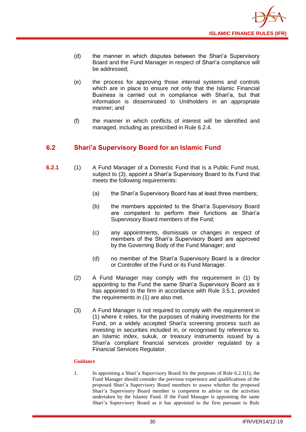

- (d) the manner in which disputes between the Shari'a Supervisory Board and the Fund Manager in respect of Shari'a compliance will be addressed;
- (e) the process for approving those internal systems and controls which are in place to ensure not only that the Islamic Financial Business is carried out in compliance with Shari'a, but that information is disseminated to Unitholders in an appropriate manner; and
- (f) the manner in which conflicts of interest will be identified and managed, including as prescribed in Rule 6.2.4.

## <span id="page-32-0"></span>**6.2 Shari'a Supervisory Board for an Islamic Fund**

- **6.2.1** (1) A Fund Manager of a Domestic Fund that is a Public Fund must, subject to (3), appoint a Shari'a Supervisory Board to its Fund that meets the following requirements:
	- (a) the Shari'a Supervisory Board has at least three members;
	- (b) the members appointed to the Shari'a Supervisory Board are competent to perform their functions as Shari'a Supervisory Board members of the Fund;
	- (c) any appointments, dismissals or changes in respect of members of the Shari'a Supervisory Board are approved by the Governing Body of the Fund Manager; and
	- (d) no member of the Shari'a Supervisory Board is a director or Controller of the Fund or its Fund Manager.
	- (2) A Fund Manager may comply with the requirement in (1) by appointing to the Fund the same Shari'a Supervisory Board as it has appointed to the firm in accordance with Rule 3.5.1, provided the requirements in (1) are also met.
	- (3) A Fund Manager is not required to comply with the requirement in (1) where it relies, for the purposes of making investments for the Fund, on a widely accepted Shari'a screening process such as investing in securities included in, or recognised by reference to, an Islamic index, sukuk, or treasury instruments issued by a Shari'a compliant financial services provider regulated by a Financial Services Regulator.

#### **Guidance**

1. In appointing a Shari'a Supervisory Board for the purposes of Rule 6.2.1(1), the Fund Manager should consider the previous experience and qualifications of the proposed Shari'a Supervisory Board members to assess whether the proposed Shari'a Supervisory Board member is competent to advise on the activities undertaken by the Islamic Fund. If the Fund Manager is appointing the same Shari'a Supervisory Board as it has appointed to the firm pursuant to Rule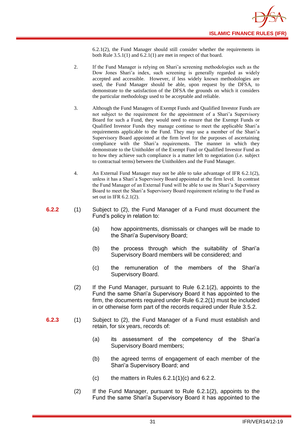6.2.1(2), the Fund Manager should still consider whether the requirements in both Rule 3.5.1(1) and 6.2.1(1) are met in respect of that board.

- 2. If the Fund Manager is relying on Shari'a screening methodologies such as the Dow Jones Shari'a index, such screening is generally regarded as widely accepted and accessible. However, if less widely known methodologies are used, the Fund Manager should be able, upon request by the DFSA, to demonstrate to the satisfaction of the DFSA the grounds on which it considers the particular methodology used to be acceptable and reliable.
- 3. Although the Fund Managers of Exempt Funds and Qualified Investor Funds are not subject to the requirement for the appointment of a Shari'a Supervisory Board for such a Fund, they would need to ensure that the Exempt Funds or Qualified Investor Funds they manage continue to meet the applicable Shari'a requirements applicable to the Fund. They may use a member of the Shari'a Supervisory Board appointed at the firm level for the purposes of ascertaining compliance with the Shari'a requirements. The manner in which they demonstrate to the Unitholder of the Exempt Fund or Qualified Investor Fund as to how they achieve such compliance is a matter left to negotiation (i.e. subject to contractual terms) between the Unitholders and the Fund Manager.
- 4. An External Fund Manager may not be able to take advantage of IFR 6.2.1(2), unless it has a Shari'a Supervisory Board appointed at the firm level. In contrast the Fund Manager of an External Fund will be able to use its Shari'a Supervisory Board to meet the Shari'a Supervisory Board requirement relating to the Fund as set out in IFR 6.2.1(2).
- **6.2.2** (1) Subject to (2), the Fund Manager of a Fund must document the Fund's policy in relation to:
	- (a) how appointments, dismissals or changes will be made to the Shari'a Supervisory Board;
	- (b) the process through which the suitability of Shari'a Supervisory Board members will be considered; and
	- (c) the remuneration of the members of the Shari'a Supervisory Board.
	- (2) If the Fund Manager, pursuant to Rule 6.2.1(2), appoints to the Fund the same Shari'a Supervisory Board it has appointed to the firm, the documents required under Rule 6.2.2(1) must be included in or otherwise form part of the records required under Rule 3.5.2.
- **6.2.3** (1) Subject to (2), the Fund Manager of a Fund must establish and retain, for six years, records of:
	- (a) its assessment of the competency of the Shari'a Supervisory Board members;
	- (b) the agreed terms of engagement of each member of the Shari'a Supervisory Board; and
	- (c) the matters in Rules  $6.2.1(1)(c)$  and  $6.2.2$ .
	- (2) If the Fund Manager, pursuant to Rule 6.2.1(2), appoints to the Fund the same Shari'a Supervisory Board it has appointed to the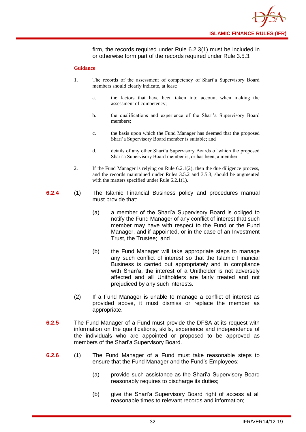

firm, the records required under Rule 6.2.3(1) must be included in or otherwise form part of the records required under Rule 3.5.3.

- 1. The records of the assessment of competency of Shari'a Supervisory Board members should clearly indicate, at least:
	- a. the factors that have been taken into account when making the assessment of competency;
	- b. the qualifications and experience of the Shari'a Supervisory Board members;
	- c. the basis upon which the Fund Manager has deemed that the proposed Shari'a Supervisory Board member is suitable; and
	- d. details of any other Shari'a Supervisory Boards of which the proposed Shari'a Supervisory Board member is, or has been, a member.
- 2. If the Fund Manager is relying on Rule 6.2.1(2), then the due diligence process, and the records maintained under Rules 3.5.2 and 3.5.3, should be augmented with the matters specified under Rule 6.2.1(1).
- **6.2.4** (1) The Islamic Financial Business policy and procedures manual must provide that:
	- (a) a member of the Shari'a Supervisory Board is obliged to notify the Fund Manager of any conflict of interest that such member may have with respect to the Fund or the Fund Manager, and if appointed, or in the case of an Investment Trust, the Trustee; and
	- (b) the Fund Manager will take appropriate steps to manage any such conflict of interest so that the Islamic Financial Business is carried out appropriately and in compliance with Shari'a, the interest of a Unitholder is not adversely affected and all Unitholders are fairly treated and not prejudiced by any such interests.
	- (2) If a Fund Manager is unable to manage a conflict of interest as provided above, it must dismiss or replace the member as appropriate.
- **6.2.5** The Fund Manager of a Fund must provide the DFSA at its request with information on the qualifications, skills, experience and independence of the individuals who are appointed or proposed to be approved as members of the Shari'a Supervisory Board.
- **6.2.6** (1) The Fund Manager of a Fund must take reasonable steps to ensure that the Fund Manager and the Fund's Employees:
	- (a) provide such assistance as the Shari'a Supervisory Board reasonably requires to discharge its duties;
	- (b) give the Shari'a Supervisory Board right of access at all reasonable times to relevant records and information;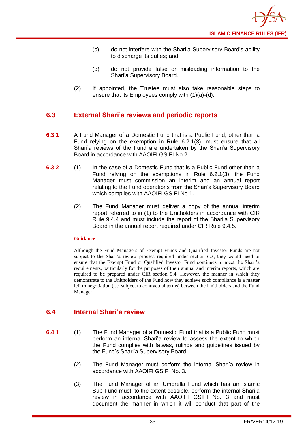- (c) do not interfere with the Shari'a Supervisory Board's ability to discharge its duties; and
- (d) do not provide false or misleading information to the Shari'a Supervisory Board.
- (2) If appointed, the Trustee must also take reasonable steps to ensure that its Employees comply with (1)(a)-(d).

## <span id="page-35-0"></span>**6.3 External Shari'a reviews and periodic reports**

- **6.3.1** A Fund Manager of a Domestic Fund that is a Public Fund, other than a Fund relying on the exemption in Rule 6.2.1(3), must ensure that all Shari'a reviews of the Fund are undertaken by the Shari'a Supervisory Board in accordance with AAOIFI GSIFI No 2.
- **6.3.2** (1) In the case of a Domestic Fund that is a Public Fund other than a Fund relying on the exemptions in Rule 6.2.1(3), the Fund Manager must commission an interim and an annual report relating to the Fund operations from the Shari'a Supervisory Board which complies with AAOIFI GSIFI No 1.
	- (2) The Fund Manager must deliver a copy of the annual interim report referred to in (1) to the Unitholders in accordance with CIR Rule 9.4.4 and must include the report of the Shari'a Supervisory Board in the annual report required under CIR Rule 9.4.5.

#### **Guidance**

Although the Fund Managers of Exempt Funds and Qualified Investor Funds are not subject to the Shari'a review process required under section 6.3, they would need to ensure that the Exempt Fund or Qualified Investor Fund continues to meet the Shari'a requirements, particularly for the purposes of their annual and interim reports, which are required to be prepared under CIR section 9.4. However, the manner in which they demonstrate to the Unitholders of the Fund how they achieve such compliance is a matter left to negotiation (i.e. subject to contractual terms) between the Unitholders and the Fund Manager.

## <span id="page-35-1"></span>**6.4 Internal Shari'a review**

- **6.4.1** (1) The Fund Manager of a Domestic Fund that is a Public Fund must perform an internal Shari'a review to assess the extent to which the Fund complies with fatwas, rulings and guidelines issued by the Fund's Shari'a Supervisory Board.
	- (2) The Fund Manager must perform the internal Shari'a review in accordance with AAOIFI GSIFI No. 3.
	- (3) The Fund Manager of an Umbrella Fund which has an Islamic Sub-Fund must, to the extent possible, perform the internal Shari'a review in accordance with AAOIFI GSIFI No. 3 and must document the manner in which it will conduct that part of the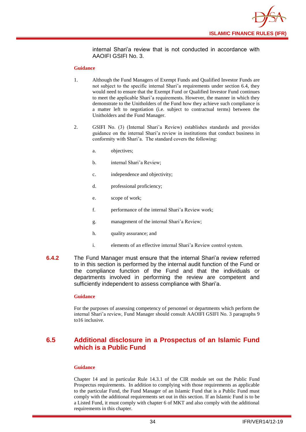

internal Shari'a review that is not conducted in accordance with AAOIFI GSIFI No. 3.

#### **Guidance**

- 1. Although the Fund Managers of Exempt Funds and Qualified Investor Funds are not subject to the specific internal Shari'a requirements under section 6.4, they would need to ensure that the Exempt Fund or Qualified Investor Fund continues to meet the applicable Shari'a requirements. However, the manner in which they demonstrate to the Unitholders of the Fund how they achieve such compliance is a matter left to negotiation (i.e. subject to contractual terms) between the Unitholders and the Fund Manager.
- 2. GSIFI No. (3) (Internal Shari'a Review) establishes standards and provides guidance on the internal Shari'a review in institutions that conduct business in conformity with Shari'a. The standard covers the following:
	- a. objectives;
	- b. internal Shari'a Review;
	- c. independence and objectivity;
	- d. professional proficiency;
	- e. scope of work;
	- f. performance of the internal Shari'a Review work;
	- g. management of the internal Shari'a Review;
	- h. quality assurance; and
	- i. elements of an effective internal Shari'a Review control system.
- **6.4.2** The Fund Manager must ensure that the internal Shari'a review referred to in this section is performed by the internal audit function of the Fund or the compliance function of the Fund and that the individuals or departments involved in performing the review are competent and sufficiently independent to assess compliance with Shari'a.

#### **Guidance**

For the purposes of assessing competency of personnel or departments which perform the internal Shari'a review, Fund Manager should consult AAOIFI GSIFI No. 3 paragraphs 9 to16 inclusive.

## <span id="page-36-0"></span>**6.5 Additional disclosure in a Prospectus of an Islamic Fund which is a Public Fund**

#### **Guidance**

Chapter 14 and in particular Rule 14.3.1 of the CIR module set out the Public Fund Prospectus requirements. In addition to complying with those requirements as applicable to the particular Fund, the Fund Manager of an Islamic Fund that is a Public Fund must comply with the additional requirements set out in this section. If an Islamic Fund is to be a Listed Fund, it must comply with chapter 6 of MKT and also comply with the additional requirements in this chapter.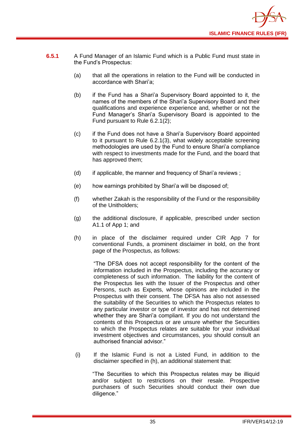

- **6.5.1** A Fund Manager of an Islamic Fund which is a Public Fund must state in the Fund's Prospectus:
	- (a) that all the operations in relation to the Fund will be conducted in accordance with Shari'a;
	- (b) if the Fund has a Shari'a Supervisory Board appointed to it, the names of the members of the Shari'a Supervisory Board and their qualifications and experience experience and, whether or not the Fund Manager's Shari'a Supervisory Board is appointed to the Fund pursuant to Rule 6.2.1(2);
	- (c) if the Fund does not have a Shari'a Supervisory Board appointed to it pursuant to Rule 6.2.1(3), what widely acceptable screening methodologies are used by the Fund to ensure Shari'a compliance with respect to investments made for the Fund, and the board that has approved them;
	- (d) if applicable, the manner and frequency of Shari'a reviews ;
	- (e) how earnings prohibited by Shari'a will be disposed of;
	- (f) whether Zakah is the responsibility of the Fund or the responsibility of the Unitholders;
	- (g) the additional disclosure, if applicable, prescribed under section A1.1 of App 1; and
	- (h) in place of the disclaimer required under CIR App 7 for conventional Funds, a prominent disclaimer in bold, on the front page of the Prospectus, as follows:

"The DFSA does not accept responsibility for the content of the information included in the Prospectus, including the accuracy or completeness of such information. The liability for the content of the Prospectus lies with the Issuer of the Prospectus and other Persons, such as Experts, whose opinions are included in the Prospectus with their consent. The DFSA has also not assessed the suitability of the Securities to which the Prospectus relates to any particular investor or type of investor and has not determined whether they are Shari'a compliant. If you do not understand the contents of this Prospectus or are unsure whether the Securities to which the Prospectus relates are suitable for your individual investment objectives and circumstances, you should consult an authorised financial advisor."

(i) If the Islamic Fund is not a Listed Fund, in addition to the disclaimer specified in (h), an additional statement that:

"The Securities to which this Prospectus relates may be illiquid and/or subject to restrictions on their resale. Prospective purchasers of such Securities should conduct their own due diligence."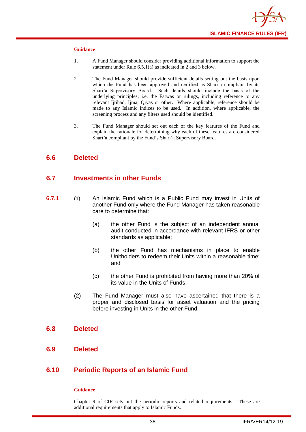

#### **Guidance**

- 1. A Fund Manager should consider providing additional information to support the statement under Rule 6.5.1(a) as indicated in 2 and 3 below.
- 2. The Fund Manager should provide sufficient details setting out the basis upon which the Fund has been approved and certified as Shari'a compliant by its Shari'a Supervisory Board. Such details should include the basis of the underlying principles, i.e. the Fatwas or rulings, including reference to any relevant Ijtihad, Ijma, Qiyas or other. Where applicable, reference should be made to any Islamic indices to be used. In addition, where applicable, the screening process and any filters used should be identified.
- 3. The Fund Manager should set out each of the key features of the Fund and explain the rationale for determining why each of these features are considered Shari'a compliant by the Fund's Shari'a Supervisory Board.

#### <span id="page-38-0"></span>**6.6 Deleted**

## <span id="page-38-1"></span>**6.7 Investments in other Funds**

- **6.7.1** (1) An Islamic Fund which is a Public Fund may invest in Units of another [Fund](http://fsahandbook.info/FSA/glossary.jsp?doc=glossary/glossary&gloss=G1043#G1043) only where the Fund Manager has taken reasonable care to determine that:
	- (a) the other Fund is the subject of an independent annual audit conducted in accordance with relevant IFRS or other standards as applicable;
	- (b) the other Fund has mechanisms in place to enable [Unitholders](http://fsahandbook.info/FSA/glossary.jsp?doc=glossary/glossary&gloss=G1233#G1233) to redeem their [Units](http://fsahandbook.info/FSA/glossary.jsp?doc=glossary/glossary&gloss=G1230#G1230) within a reasonable time; and
	- (c) the other Fund is prohibited from having more than 20% of its value in the [Units](http://fsahandbook.info/FSA/glossary.jsp?doc=glossary/glossary&gloss=G1230#G1230) of Funds.
	- (2) The Fund Manager must also have ascertained that there is a proper and disclosed basis for asset valuation and the pricing before investing in [Units](http://fsahandbook.info/FSA/glossary.jsp?doc=glossary/glossary&gloss=G1230#G1230) in the other [Fund.](http://fsahandbook.info/FSA/glossary.jsp?doc=glossary/glossary&gloss=G1043#G1043)

#### <span id="page-38-2"></span>**6.8 Deleted**

<span id="page-38-3"></span>**6.9 Deleted**

## <span id="page-38-4"></span>**6.10 Periodic Reports of an Islamic Fund**

#### **Guidance**

Chapter 9 of CIR sets out the periodic reports and related requirements. These are additional requirements that apply to Islamic Funds.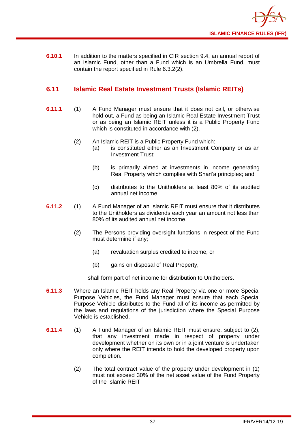

**6.10.1** In addition to the matters specified in CIR section 9.4, an annual report of an Islamic Fund, other than a Fund which is an [Umbrella](http://fsahandbook.info/FSA/glossary-html/handbook/Glossary/U?definition=G1222) Fund, must contain the report specified in Rule 6.3.2(2).

## <span id="page-39-0"></span>**6.11 Islamic Real Estate Investment Trusts (Islamic REITs)**

- **6.11.1** (1) A Fund Manager must ensure that it does not call, or otherwise hold out, a Fund as being an Islamic Real Estate Investment Trust or as being an Islamic REIT unless it is a Public Property Fund which is constituted in accordance with (2).
	- (2) An Islamic REIT is a Public Property Fund which:
		- (a) is constituted either as an Investment Company or as an Investment Trust;
		- (b) is primarily aimed at investments in income generating Real Property which complies with Shari'a principles; and
		- (c) distributes to the Unitholders at least 80% of its audited annual net income.
- **6.11.2** (1) A Fund Manager of an Islamic REIT must ensure that it distributes to the Unitholders as dividends each year an amount not less than 80% of its audited annual net income.
	- (2) The Persons providing oversight functions in respect of the Fund must determine if any;
		- (a) revaluation surplus credited to income, or
		- (b) gains on disposal of Real Property,

shall form part of net income for distribution to Unitholders.

- **6.11.3** Where an Islamic REIT holds any Real Property via one or more Special Purpose Vehicles, the Fund Manager must ensure that each Special Purpose Vehicle distributes to the Fund all of its income as permitted by the laws and regulations of the jurisdiction where the Special Purpose Vehicle is established.
- **6.11.4** (1) A Fund Manager of an Islamic REIT must ensure, subject to (2), that any investment made in respect of property under development whether on its own or in a joint venture is undertaken only where the REIT intends to hold the developed property upon completion.
	- (2) The total contract value of the property under development in (1) must not exceed 30% of the net asset value of the Fund Property of the Islamic REIT.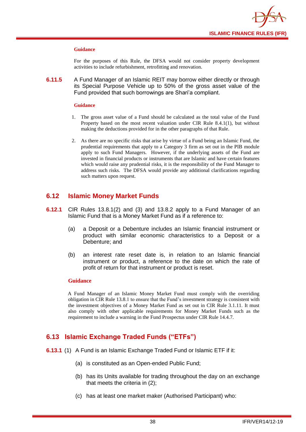

#### **Guidance**

For the purposes of this Rule, the DFSA would not consider property development activities to include refurbishment, retrofitting and renovation.

**6.11.5** A Fund Manager of an Islamic REIT may borrow either directly or through its Special Purpose Vehicle up to 50% of the gross asset value of the Fund provided that such borrowings are Shari'a compliant.

#### **Guidance**

- 1. The gross asset value of a Fund should be calculated as the total value of the Fund Property based on the most recent valuation under CIR Rule 8.4.1(1), but without making the deductions provided for in the other paragraphs of that Rule.
- 2. As there are no specific risks that arise by virtue of a Fund being an Islamic Fund, the prudential requirements that apply to a Category 3 firm as set out in the PIB module apply to such Fund Managers. However, if the underlying assets of the Fund are invested in financial products or instruments that are Islamic and have certain features which would raise any prudential risks, it is the responsibility of the Fund Manager to address such risks. The DFSA would provide any additional clarifications regarding such matters upon request.

## <span id="page-40-0"></span>**6.12 Islamic Money Market Funds**

- **6.12.1** CIR Rules 13.8.1(2) and (3) and 13.8.2 apply to a Fund Manager of an Islamic Fund that is a Money Market Fund as if a reference to:
	- (a) a Deposit or a Debenture includes an Islamic financial instrument or product with similar economic characteristics to a Deposit or a Debenture; and
	- (b) an interest rate reset date is, in relation to an Islamic financial instrument or product, a reference to the date on which the rate of profit of return for that instrument or product is reset.

#### **Guidance**

A Fund Manager of an Islamic Money Market Fund must comply with the overriding obligation in CIR Rule 13.8.1 to ensure that the Fund's investment strategy is consistent with the investment objectives of a Money Market Fund as set out in CIR Rule 3.1.11. It must also comply with other applicable requirements for Money Market Funds such as the requirement to include a warning in the Fund Prospectus under CIR Rule 14.4.7.

## <span id="page-40-1"></span>**6.13 Islamic Exchange Traded Funds ("ETFs")**

- **6.13.1** (1) A Fund is an Islamic Exchange Traded Fund or Islamic ETF if it:
	- (a) is constituted as an Open-ended Public Fund;
	- (b) has its Units available for trading throughout the day on an exchange that meets the criteria in (2);
	- (c) has at least one market maker (Authorised Participant) who: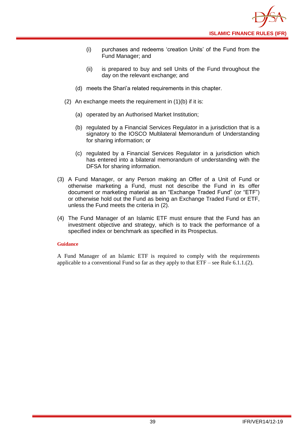

- (i) purchases and redeems 'creation Units' of the Fund from the Fund Manager; and
- (ii) is prepared to buy and sell Units of the Fund throughout the day on the relevant exchange; and
- (d) meets the Shari'a related requirements in this chapter.
- (2) An exchange meets the requirement in (1)(b) if it is:
	- (a) operated by an Authorised Market Institution;
	- (b) regulated by a Financial Services Regulator in a jurisdiction that is a signatory to the IOSCO Multilateral Memorandum of Understanding for sharing information; or
	- (c) regulated by a Financial Services Regulator in a jurisdiction which has entered into a bilateral memorandum of understanding with the DFSA for sharing information.
- (3) A Fund Manager, or any Person making an Offer of a Unit of Fund or otherwise marketing a Fund, must not describe the Fund in its offer document or marketing material as an "Exchange Traded Fund" (or "ETF") or otherwise hold out the Fund as being an Exchange Traded Fund or ETF, unless the Fund meets the criteria in (2).
- (4) The Fund Manager of an Islamic ETF must ensure that the Fund has an investment objective and strategy, which is to track the performance of a specified index or benchmark as specified in its Prospectus.

#### **Guidance**

A Fund Manager of an Islamic ETF is required to comply with the requirements applicable to a conventional Fund so far as they apply to that  $ETF$  – see Rule 6.1.1.(2).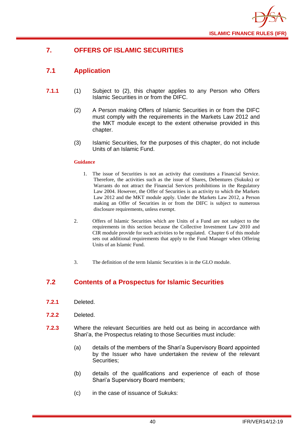

## <span id="page-42-0"></span>**7. OFFERS OF ISLAMIC SECURITIES**

## <span id="page-42-1"></span>**7.1 Application**

- **7.1.1** (1) Subject to (2), this chapter applies to any Person who Offers Islamic Securities in or from the DIFC.
	- (2) A Person making Offers of Islamic Securities in or from the DIFC must comply with the requirements in the Markets Law 2012 and the MKT module except to the extent otherwise provided in this chapter.
	- (3) Islamic Securities, for the purposes of this chapter, do not include Units of an Islamic Fund.

#### **Guidance**

- 1. The issue of Securities is not an activity that constitutes a Financial Service. Therefore, the activities such as the issue of Shares, Debentures (Sukuks) or Warrants do not attract the Financial Services prohibitions in the Regulatory Law 2004. However, the Offer of Securities is an activity to which the Markets Law 2012 and the MKT module apply. Under the Markets Law 2012, a Person making an Offer of Securities in or from the DIFC is subject to numerous disclosure requirements, unless exempt.
- 2. Offers of Islamic Securities which are Units of a Fund are not subject to the requirements in this section because the Collective Investment Law 2010 and CIR module provide for such activities to be regulated. Chapter 6 of this module sets out additional requirements that apply to the Fund Manager when Offering Units of an Islamic Fund.
- 3. The definition of the term Islamic Securities is in the GLO module.

## <span id="page-42-2"></span>**7.2 Contents of a Prospectus for Islamic Securities**

- **7.2.1** Deleted.
- **7.2.2** Deleted.
- **7.2.3** Where the relevant Securities are held out as being in accordance with Shari'a, the Prospectus relating to those Securities must include:
	- (a) details of the members of the Shari'a Supervisory Board appointed by the Issuer who have undertaken the review of the relevant Securities;
	- (b) details of the qualifications and experience of each of those Shari'a Supervisory Board members;
	- (c) in the case of issuance of Sukuks: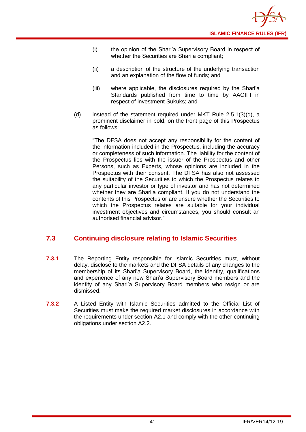- (i) the opinion of the Shari'a Supervisory Board in respect of whether the Securities are Shari'a compliant;
- (ii) a description of the structure of the underlying transaction and an explanation of the flow of funds; and
- (iii) where applicable, the disclosures required by the Shari'a Standards published from time to time by AAOIFI in respect of investment Sukuks; and
- (d) instead of the statement required under MKT Rule 2.5.1(3)(d), a prominent disclaimer in bold, on the front page of this Prospectus as follows:

"The DFSA does not accept any responsibility for the content of the information included in the Prospectus, including the accuracy or completeness of such information. The liability for the content of the Prospectus lies with the issuer of the Prospectus and other Persons, such as Experts, whose opinions are included in the Prospectus with their consent. The DFSA has also not assessed the suitability of the Securities to which the Prospectus relates to any particular investor or type of investor and has not determined whether they are Shari'a compliant. If you do not understand the contents of this Prospectus or are unsure whether the Securities to which the Prospectus relates are suitable for your individual investment objectives and circumstances, you should consult an authorised financial advisor."

## <span id="page-43-0"></span>**7.3 Continuing disclosure relating to Islamic Securities**

- **7.3.1** The Reporting Entity responsible for Islamic Securities must, without delay, disclose to the markets and the DFSA details of any changes to the membership of its Shari'a Supervisory Board, the identity, qualifications and experience of any new Shari'a Supervisory Board members and the identity of any Shari'a Supervisory Board members who resign or are dismissed.
- **7.3.2** A Listed Entity with Islamic Securities admitted to the Official List of Securities must make the required market disclosures in accordance with the requirements under section A2.1 and comply with the other continuing obligations under section A2.2.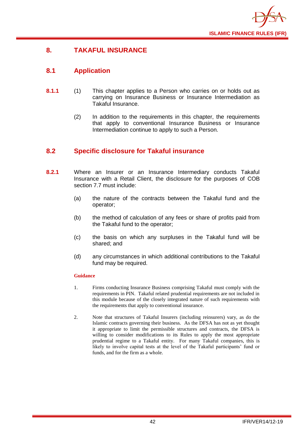

## <span id="page-44-0"></span>**8. TAKAFUL INSURANCE**

## <span id="page-44-1"></span>**8.1 Application**

- **8.1.1** (1) This chapter applies to a Person who carries on or holds out as carrying on Insurance Business or Insurance Intermediation as Takaful Insurance.
	- (2) In addition to the requirements in this chapter, the requirements that apply to conventional Insurance Business or Insurance Intermediation continue to apply to such a Person.

## <span id="page-44-2"></span>**8.2 Specific disclosure for Takaful insurance**

- **8.2.1** Where an Insurer or an Insurance Intermediary conducts Takaful Insurance with a Retail Client, the disclosure for the purposes of COB section 7.7 must include:
	- (a) the nature of the contracts between the Takaful fund and the operator;
	- (b) the method of calculation of any fees or share of profits paid from the Takaful fund to the operator;
	- (c) the basis on which any surpluses in the Takaful fund will be shared; and
	- (d) any circumstances in which additional contributions to the Takaful fund may be required.

- 1. Firms conducting Insurance Business comprising Takaful must comply with the requirements in PIN. Takaful related prudential requirements are not included in this module because of the closely integrated nature of such requirements with the requirements that apply to conventional insurance.
- 2. Note that structures of Takaful Insurers (including reinsurers) vary, as do the Islamic contracts governing their business. As the DFSA has not as yet thought it appropriate to limit the permissible structures and contracts, the DFSA is willing to consider modifications to its Rules to apply the most appropriate prudential regime to a Takaful entity. For many Takaful companies, this is likely to involve capital tests at the level of the Takaful participants' fund or funds, and for the firm as a whole.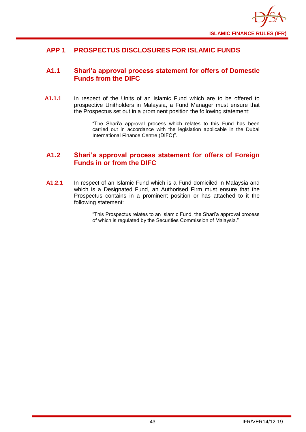

## <span id="page-45-0"></span>**APP 1 PROSPECTUS DISCLOSURES FOR ISLAMIC FUNDS**

## <span id="page-45-1"></span>**A1.1 Shari'a approval process statement for offers of Domestic Funds from the DIFC**

**A1.1.1** In respect of the Units of an Islamic Fund which are to be offered to prospective Unitholders in Malaysia, a Fund Manager must ensure that the Prospectus set out in a prominent position the following statement:

> "The Shari'a approval process which relates to this Fund has been carried out in accordance with the legislation applicable in the Dubai International Finance Centre (DIFC)".

## <span id="page-45-2"></span>**A1.2 Shari'a approval process statement for offers of Foreign Funds in or from the DIFC**

**A1.2.1** In respect of an Islamic Fund which is a Fund domiciled in Malaysia and which is a Designated Fund, an Authorised Firm must ensure that the Prospectus contains in a prominent position or has attached to it the following statement:

> "This Prospectus relates to an Islamic Fund, the Shari'a approval process of which is regulated by the Securities Commission of Malaysia."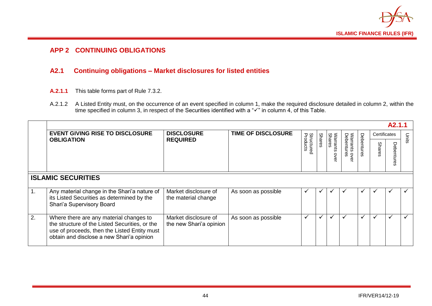

## **APP 2 CONTINUING OBLIGATIONS**

## **A2.1 Continuing obligations – Market disclosures for listed entities**

- **A.2.1.1** This table forms part of Rule 7.3.2.
- A.2.1.2 A Listed Entity must, on the occurrence of an event specified in column 1, make the required disclosure detailed in column 2, within the time specified in column 3, in respect of the Securities identified with a "✓" in column 4, of this Table.

<span id="page-46-1"></span><span id="page-46-0"></span>

|    | A <sub>2</sub> .1.1                                                                                                                                                                    |                                                 |                           |                               |        |                               |                                 |            |               |              |              |
|----|----------------------------------------------------------------------------------------------------------------------------------------------------------------------------------------|-------------------------------------------------|---------------------------|-------------------------------|--------|-------------------------------|---------------------------------|------------|---------------|--------------|--------------|
|    | <b>EVENT GIVING RISE TO DISCLOSURE</b><br><b>OBLIGATION</b>                                                                                                                            | <b>DISCLOSURE</b><br><b>REQUIRED</b>            | <b>TIME OF DISCLOSURE</b> | <b>Structured</b><br>Products |        | ŠΜ                            |                                 |            | Certificates  |              | Units        |
|    |                                                                                                                                                                                        |                                                 |                           |                               | Shares | <b>Shares</b><br>shis<br>over | Warrants o<br>Debenture<br>over | Debentures | <b>Shares</b> | U<br>နှ<br>ന |              |
|    | <b>ISLAMIC SECURITIES</b>                                                                                                                                                              |                                                 |                           |                               |        |                               |                                 |            |               |              |              |
|    | Any material change in the Shari'a nature of<br>its Listed Securities as determined by the<br>Shari'a Supervisory Board                                                                | Market disclosure of<br>the material change     | As soon as possible       |                               |        |                               |                                 |            |               |              |              |
| 2. | Where there are any material changes to<br>the structure of the Listed Securities, or the<br>use of proceeds, then the Listed Entity must<br>obtain and disclose a new Shari'a opinion | Market disclosure of<br>the new Shari'a opinion | As soon as possible       | $\checkmark$                  | ✓      | ╰                             | ✓                               | ✔          | ✓             | ✓            | $\checkmark$ |